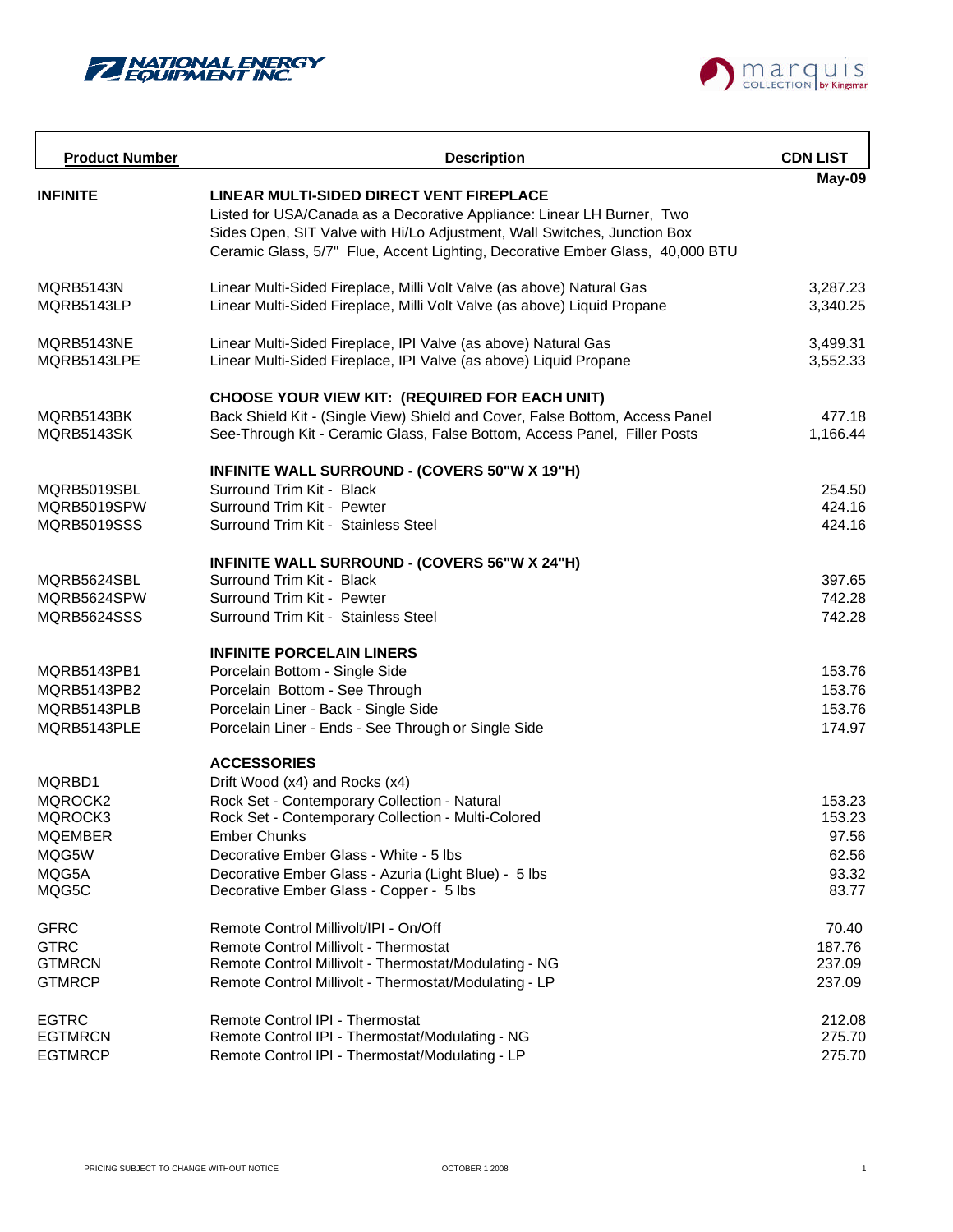



| <b>Product Number</b>             | <b>Description</b>                                                            | <b>CDN LIST</b>  |
|-----------------------------------|-------------------------------------------------------------------------------|------------------|
| <b>INFINITE</b>                   | LINEAR MULTI-SIDED DIRECT VENT FIREPLACE                                      | May-09           |
|                                   | Listed for USA/Canada as a Decorative Appliance: Linear LH Burner, Two        |                  |
|                                   | Sides Open, SIT Valve with Hi/Lo Adjustment, Wall Switches, Junction Box      |                  |
|                                   | Ceramic Glass, 5/7" Flue, Accent Lighting, Decorative Ember Glass, 40,000 BTU |                  |
| MQRB5143N                         | Linear Multi-Sided Fireplace, Milli Volt Valve (as above) Natural Gas         | 3,287.23         |
| MQRB5143LP                        | Linear Multi-Sided Fireplace, Milli Volt Valve (as above) Liquid Propane      | 3,340.25         |
| MQRB5143NE                        | Linear Multi-Sided Fireplace, IPI Valve (as above) Natural Gas                | 3,499.31         |
| MQRB5143LPE                       | Linear Multi-Sided Fireplace, IPI Valve (as above) Liquid Propane             | 3,552.33         |
|                                   | CHOOSE YOUR VIEW KIT: (REQUIRED FOR EACH UNIT)                                |                  |
| MQRB5143BK                        | Back Shield Kit - (Single View) Shield and Cover, False Bottom, Access Panel  | 477.18           |
| MQRB5143SK                        | See-Through Kit - Ceramic Glass, False Bottom, Access Panel, Filler Posts     | 1,166.44         |
|                                   | INFINITE WALL SURROUND - (COVERS 50"W X 19"H)                                 |                  |
| MORB5019SBL                       | Surround Trim Kit - Black                                                     | 254.50           |
| MQRB5019SPW                       | Surround Trim Kit - Pewter                                                    | 424.16           |
| MQRB5019SSS                       | Surround Trim Kit - Stainless Steel                                           | 424.16           |
|                                   | INFINITE WALL SURROUND - (COVERS 56"W X 24"H)                                 |                  |
| MQRB5624SBL                       | Surround Trim Kit - Black                                                     | 397.65           |
| MQRB5624SPW<br><b>MQRB5624SSS</b> | Surround Trim Kit - Pewter<br>Surround Trim Kit - Stainless Steel             | 742.28<br>742.28 |
|                                   |                                                                               |                  |
|                                   | <b>INFINITE PORCELAIN LINERS</b>                                              |                  |
| MQRB5143PB1                       | Porcelain Bottom - Single Side                                                | 153.76           |
| MQRB5143PB2                       | Porcelain Bottom - See Through                                                | 153.76           |
| MQRB5143PLB                       | Porcelain Liner - Back - Single Side                                          | 153.76           |
| MQRB5143PLE                       | Porcelain Liner - Ends - See Through or Single Side                           | 174.97           |
|                                   | <b>ACCESSORIES</b>                                                            |                  |
| MQRBD1                            | Drift Wood (x4) and Rocks (x4)                                                |                  |
| MQROCK2                           | Rock Set - Contemporary Collection - Natural                                  | 153.23           |
| MQROCK3<br><b>MQEMBER</b>         | Rock Set - Contemporary Collection - Multi-Colored<br><b>Ember Chunks</b>     | 153.23<br>97.56  |
| MQG5W                             | Decorative Ember Glass - White - 5 lbs                                        | 62.56            |
| MQG5A                             | Decorative Ember Glass - Azuria (Light Blue) - 5 lbs                          | 93.32            |
| MQG5C                             | Decorative Ember Glass - Copper - 5 lbs                                       | 83.77            |
| <b>GFRC</b>                       | Remote Control Millivolt/IPI - On/Off                                         | 70.40            |
| <b>GTRC</b>                       | <b>Remote Control Millivolt - Thermostat</b>                                  | 187.76           |
| <b>GTMRCN</b>                     | Remote Control Millivolt - Thermostat/Modulating - NG                         | 237.09           |
| <b>GTMRCP</b>                     | Remote Control Millivolt - Thermostat/Modulating - LP                         | 237.09           |
| <b>EGTRC</b>                      | Remote Control IPI - Thermostat                                               | 212.08           |
| <b>EGTMRCN</b>                    | Remote Control IPI - Thermostat/Modulating - NG                               | 275.70           |
| <b>EGTMRCP</b>                    | Remote Control IPI - Thermostat/Modulating - LP                               | 275.70           |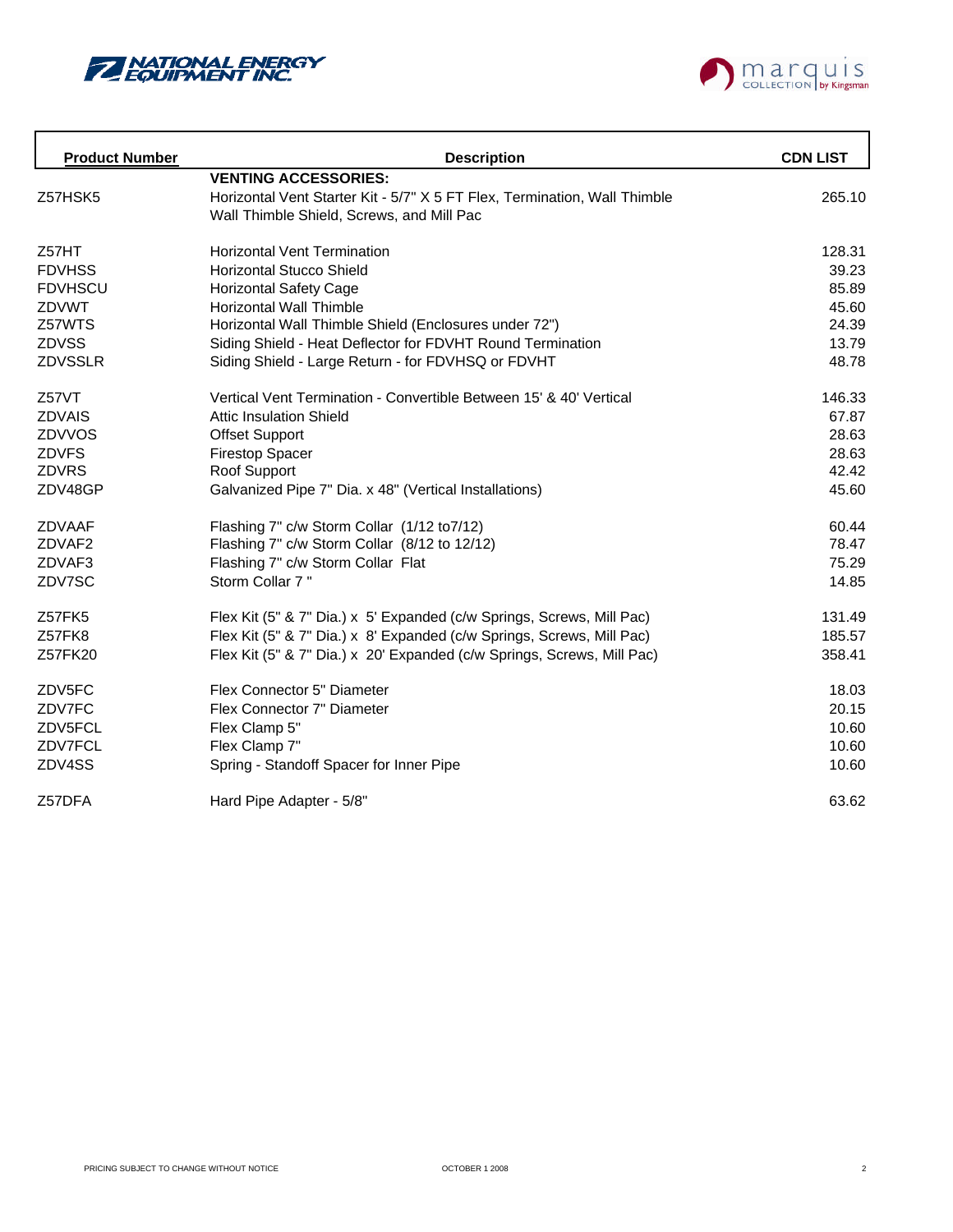



| <b>Product Number</b> | <b>Description</b>                                                        | <b>CDN LIST</b> |
|-----------------------|---------------------------------------------------------------------------|-----------------|
|                       | <b>VENTING ACCESSORIES:</b>                                               |                 |
| Z57HSK5               | Horizontal Vent Starter Kit - 5/7" X 5 FT Flex, Termination, Wall Thimble | 265.10          |
|                       | Wall Thimble Shield, Screws, and Mill Pac                                 |                 |
| Z57HT                 | <b>Horizontal Vent Termination</b>                                        | 128.31          |
| <b>FDVHSS</b>         | <b>Horizontal Stucco Shield</b>                                           | 39.23           |
| <b>FDVHSCU</b>        | <b>Horizontal Safety Cage</b>                                             | 85.89           |
| ZDVWT                 | <b>Horizontal Wall Thimble</b>                                            | 45.60           |
| Z57WTS                | Horizontal Wall Thimble Shield (Enclosures under 72")                     | 24.39           |
| <b>ZDVSS</b>          | Siding Shield - Heat Deflector for FDVHT Round Termination                | 13.79           |
| ZDVSSLR               | Siding Shield - Large Return - for FDVHSQ or FDVHT                        | 48.78           |
| Z57VT                 | Vertical Vent Termination - Convertible Between 15' & 40' Vertical        | 146.33          |
| ZDVAIS                | <b>Attic Insulation Shield</b>                                            | 67.87           |
| ZDVVOS                | <b>Offset Support</b>                                                     | 28.63           |
| <b>ZDVFS</b>          | <b>Firestop Spacer</b>                                                    | 28.63           |
| <b>ZDVRS</b>          | Roof Support                                                              | 42.42           |
| ZDV48GP               | Galvanized Pipe 7" Dia. x 48" (Vertical Installations)                    | 45.60           |
| ZDVAAF                | Flashing 7" c/w Storm Collar (1/12 to 7/12)                               | 60.44           |
| ZDVAF2                | Flashing 7" c/w Storm Collar (8/12 to 12/12)                              | 78.47           |
| ZDVAF3                | Flashing 7" c/w Storm Collar Flat                                         | 75.29           |
| ZDV7SC                | Storm Collar 7"                                                           | 14.85           |
| Z57FK5                | Flex Kit (5" & 7" Dia.) x 5' Expanded (c/w Springs, Screws, Mill Pac)     | 131.49          |
| Z57FK8                | Flex Kit (5" & 7" Dia.) x 8' Expanded (c/w Springs, Screws, Mill Pac)     | 185.57          |
| Z57FK20               | Flex Kit (5" & 7" Dia.) x 20' Expanded (c/w Springs, Screws, Mill Pac)    | 358.41          |
| ZDV5FC                | Flex Connector 5" Diameter                                                | 18.03           |
| ZDV7FC                | Flex Connector 7" Diameter                                                | 20.15           |
| ZDV5FCL               | Flex Clamp 5"                                                             | 10.60           |
| ZDV7FCL               | Flex Clamp 7"                                                             | 10.60           |
| ZDV4SS                | Spring - Standoff Spacer for Inner Pipe                                   | 10.60           |
| Z57DFA                | Hard Pipe Adapter - 5/8"                                                  | 63.62           |
|                       |                                                                           |                 |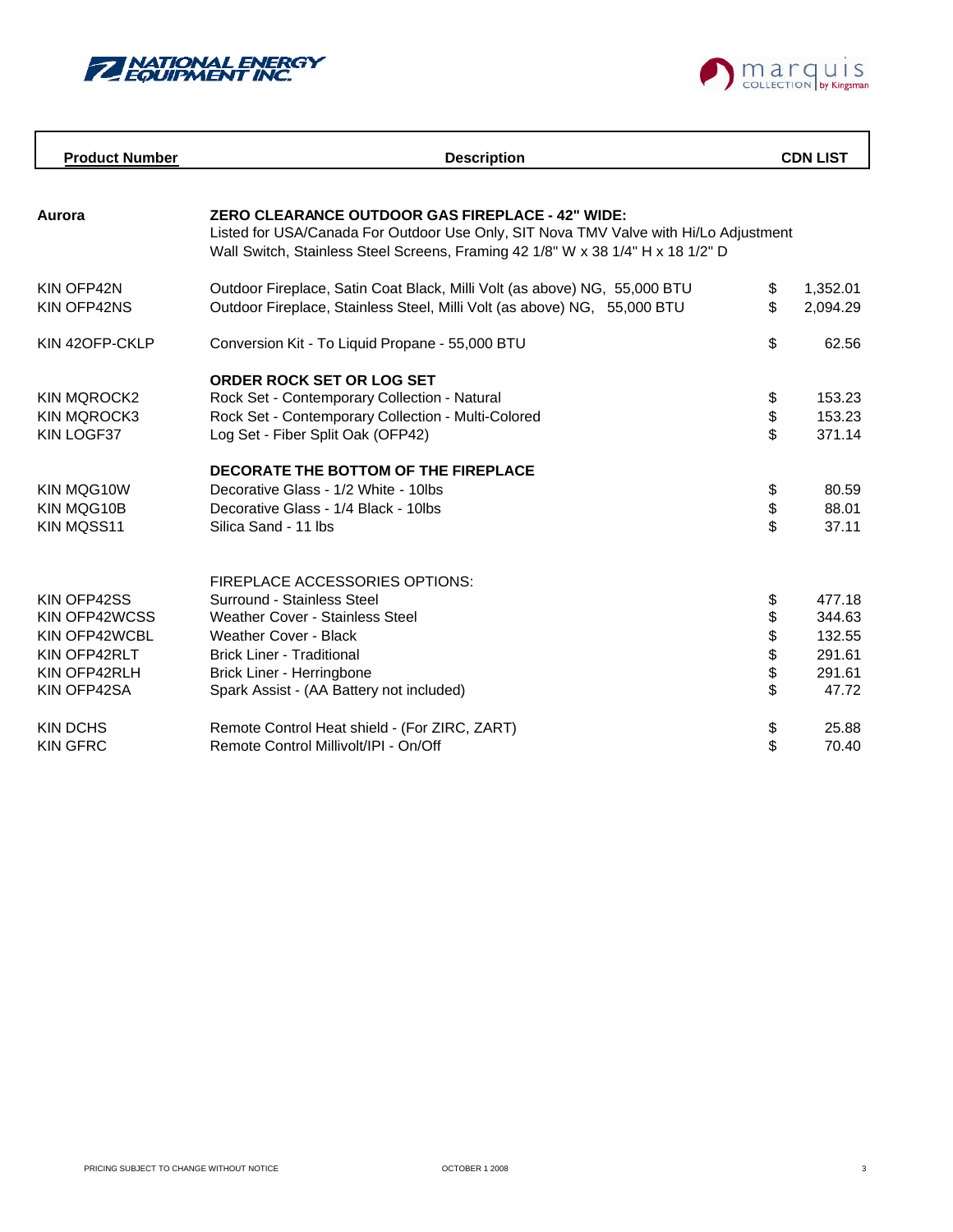

 $\mathbf{r}$ 



| <b>Product Number</b>                                                                        | <b>Description</b>                                                                                                                                                                                                                           |                                  | <b>CDN LIST</b>                                         |
|----------------------------------------------------------------------------------------------|----------------------------------------------------------------------------------------------------------------------------------------------------------------------------------------------------------------------------------------------|----------------------------------|---------------------------------------------------------|
| Aurora                                                                                       | <b>ZERO CLEARANCE OUTDOOR GAS FIREPLACE - 42" WIDE:</b><br>Listed for USA/Canada For Outdoor Use Only, SIT Nova TMV Valve with Hi/Lo Adjustment<br>Wall Switch, Stainless Steel Screens, Framing 42 1/8" W x 38 1/4" H x 18 1/2" D           |                                  |                                                         |
| KIN OFP42N<br>KIN OFP42NS                                                                    | Outdoor Fireplace, Satin Coat Black, Milli Volt (as above) NG, 55,000 BTU<br>Outdoor Fireplace, Stainless Steel, Milli Volt (as above) NG, 55,000 BTU                                                                                        | \$<br>\$                         | 1,352.01<br>2,094.29                                    |
| KIN 42OFP-CKLP                                                                               | Conversion Kit - To Liquid Propane - 55,000 BTU                                                                                                                                                                                              | \$                               | 62.56                                                   |
| <b>KIN MQROCK2</b><br><b>KIN MQROCK3</b><br>KIN LOGF37                                       | <b>ORDER ROCK SET OR LOG SET</b><br>Rock Set - Contemporary Collection - Natural<br>Rock Set - Contemporary Collection - Multi-Colored<br>Log Set - Fiber Split Oak (OFP42)                                                                  | \$<br>\$<br>\$                   | 153.23<br>153.23<br>371.14                              |
| KIN MOG10W<br>KIN MQG10B<br>KIN MQSS11                                                       | DECORATE THE BOTTOM OF THE FIREPLACE<br>Decorative Glass - 1/2 White - 10lbs<br>Decorative Glass - 1/4 Black - 10lbs<br>Silica Sand - 11 lbs                                                                                                 | \$<br>\$<br>$\mathfrak{S}$       | 80.59<br>88.01<br>37.11                                 |
| KIN OFP42SS<br>KIN OFP42WCSS<br>KIN OFP42WCBL<br>KIN OFP42RLT<br>KIN OFP42RLH<br>KIN OFP42SA | FIREPLACE ACCESSORIES OPTIONS:<br>Surround - Stainless Steel<br><b>Weather Cover - Stainless Steel</b><br>Weather Cover - Black<br><b>Brick Liner - Traditional</b><br>Brick Liner - Herringbone<br>Spark Assist - (AA Battery not included) | \$<br>\$<br>\$<br>\$<br>\$<br>\$ | 477.18<br>344.63<br>132.55<br>291.61<br>291.61<br>47.72 |
| <b>KIN DCHS</b><br><b>KIN GFRC</b>                                                           | Remote Control Heat shield - (For ZIRC, ZART)<br>Remote Control Millivolt/IPI - On/Off                                                                                                                                                       | \$<br>\$                         | 25.88<br>70.40                                          |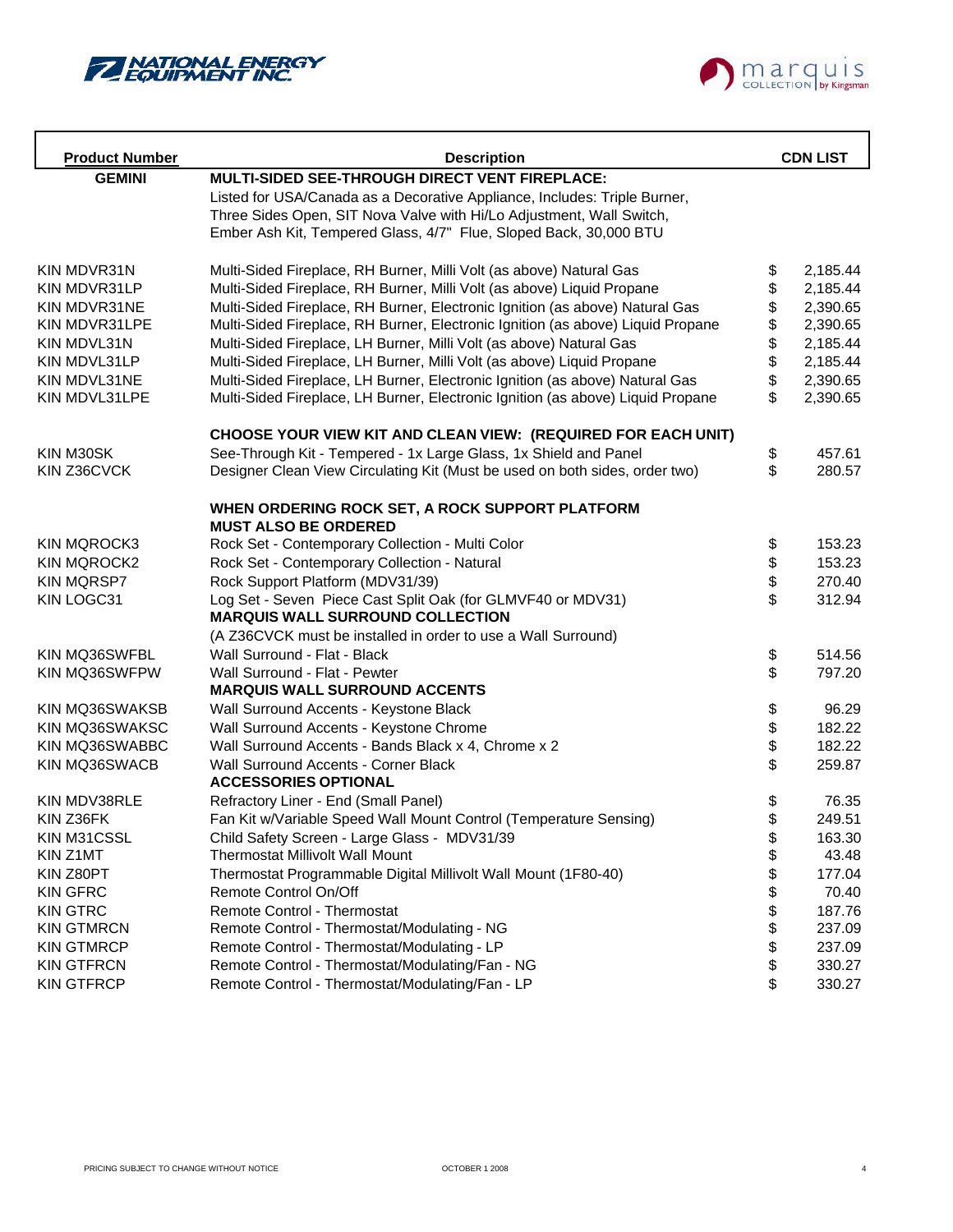



| <b>Product Number</b> | <b>Description</b>                                                              |      | <b>CDN LIST</b> |
|-----------------------|---------------------------------------------------------------------------------|------|-----------------|
| <b>GEMINI</b>         | MULTI-SIDED SEE-THROUGH DIRECT VENT FIREPLACE:                                  |      |                 |
|                       | Listed for USA/Canada as a Decorative Appliance, Includes: Triple Burner,       |      |                 |
|                       | Three Sides Open, SIT Nova Valve with Hi/Lo Adjustment, Wall Switch,            |      |                 |
|                       | Ember Ash Kit, Tempered Glass, 4/7" Flue, Sloped Back, 30,000 BTU               |      |                 |
|                       |                                                                                 |      |                 |
| KIN MDVR31N           | Multi-Sided Fireplace, RH Burner, Milli Volt (as above) Natural Gas             | \$   | 2,185.44        |
| KIN MDVR31LP          | Multi-Sided Fireplace, RH Burner, Milli Volt (as above) Liquid Propane          | \$   | 2,185.44        |
| KIN MDVR31NE          | Multi-Sided Fireplace, RH Burner, Electronic Ignition (as above) Natural Gas    | \$   | 2,390.65        |
| KIN MDVR31LPE         | Multi-Sided Fireplace, RH Burner, Electronic Ignition (as above) Liquid Propane | \$   | 2,390.65        |
| KIN MDVL31N           | Multi-Sided Fireplace, LH Burner, Milli Volt (as above) Natural Gas             | \$   | 2,185.44        |
| KIN MDVL31LP          | Multi-Sided Fireplace, LH Burner, Milli Volt (as above) Liquid Propane          | \$   | 2,185.44        |
| KIN MDVL31NE          | Multi-Sided Fireplace, LH Burner, Electronic Ignition (as above) Natural Gas    | \$   | 2,390.65        |
| KIN MDVL31LPE         | Multi-Sided Fireplace, LH Burner, Electronic Ignition (as above) Liquid Propane | \$   | 2,390.65        |
|                       | CHOOSE YOUR VIEW KIT AND CLEAN VIEW: (REQUIRED FOR EACH UNIT)                   |      |                 |
| KIN M30SK             | See-Through Kit - Tempered - 1x Large Glass, 1x Shield and Panel                | \$   | 457.61          |
| KIN Z36CVCK           | Designer Clean View Circulating Kit (Must be used on both sides, order two)     | \$   | 280.57          |
|                       |                                                                                 |      |                 |
|                       | WHEN ORDERING ROCK SET, A ROCK SUPPORT PLATFORM                                 |      |                 |
|                       | <b>MUST ALSO BE ORDERED</b>                                                     |      |                 |
| <b>KIN MQROCK3</b>    | Rock Set - Contemporary Collection - Multi Color                                | \$   | 153.23          |
| <b>KIN MQROCK2</b>    | Rock Set - Contemporary Collection - Natural                                    | \$   | 153.23          |
| <b>KIN MQRSP7</b>     | Rock Support Platform (MDV31/39)                                                | \$   | 270.40          |
| KIN LOGC31            | Log Set - Seven Piece Cast Split Oak (for GLMVF40 or MDV31)                     | \$   | 312.94          |
|                       | <b>MARQUIS WALL SURROUND COLLECTION</b>                                         |      |                 |
|                       | (A Z36CVCK must be installed in order to use a Wall Surround)                   |      |                 |
| KIN MQ36SWFBL         | Wall Surround - Flat - Black                                                    | \$   | 514.56          |
| KIN MQ36SWFPW         | Wall Surround - Flat - Pewter                                                   | \$   | 797.20          |
|                       | <b>MARQUIS WALL SURROUND ACCENTS</b>                                            |      |                 |
| KIN MQ36SWAKSB        | Wall Surround Accents - Keystone Black                                          | \$   | 96.29           |
| KIN MQ36SWAKSC        | Wall Surround Accents - Keystone Chrome                                         | \$   | 182.22          |
| KIN MQ36SWABBC        | Wall Surround Accents - Bands Black x 4, Chrome x 2                             |      | 182.22          |
| KIN MQ36SWACB         | Wall Surround Accents - Corner Black<br><b>ACCESSORIES OPTIONAL</b>             | \$   | 259.87          |
| KIN MDV38RLE          | Refractory Liner - End (Small Panel)                                            | \$   | 76.35           |
| KIN Z36FK             | Fan Kit w/Variable Speed Wall Mount Control (Temperature Sensing)               | \$   | 249.51          |
| KIN M31CSSL           | Child Safety Screen - Large Glass - MDV31/39                                    | \$   | 163.30          |
| KIN Z1MT              | <b>Thermostat Millivolt Wall Mount</b>                                          | \$   | 43.48           |
| KIN Z80PT             | Thermostat Programmable Digital Millivolt Wall Mount (1F80-40)                  | \$   | 177.04          |
| <b>KIN GFRC</b>       | Remote Control On/Off                                                           | \$   | 70.40           |
| <b>KIN GTRC</b>       | Remote Control - Thermostat                                                     |      | 187.76          |
| <b>KIN GTMRCN</b>     | Remote Control - Thermostat/Modulating - NG                                     | \$\$ | 237.09          |
| <b>KIN GTMRCP</b>     | Remote Control - Thermostat/Modulating - LP                                     |      | 237.09          |
| <b>KIN GTFRCN</b>     | Remote Control - Thermostat/Modulating/Fan - NG                                 | \$   | 330.27          |
| <b>KIN GTFRCP</b>     | Remote Control - Thermostat/Modulating/Fan - LP                                 | \$   | 330.27          |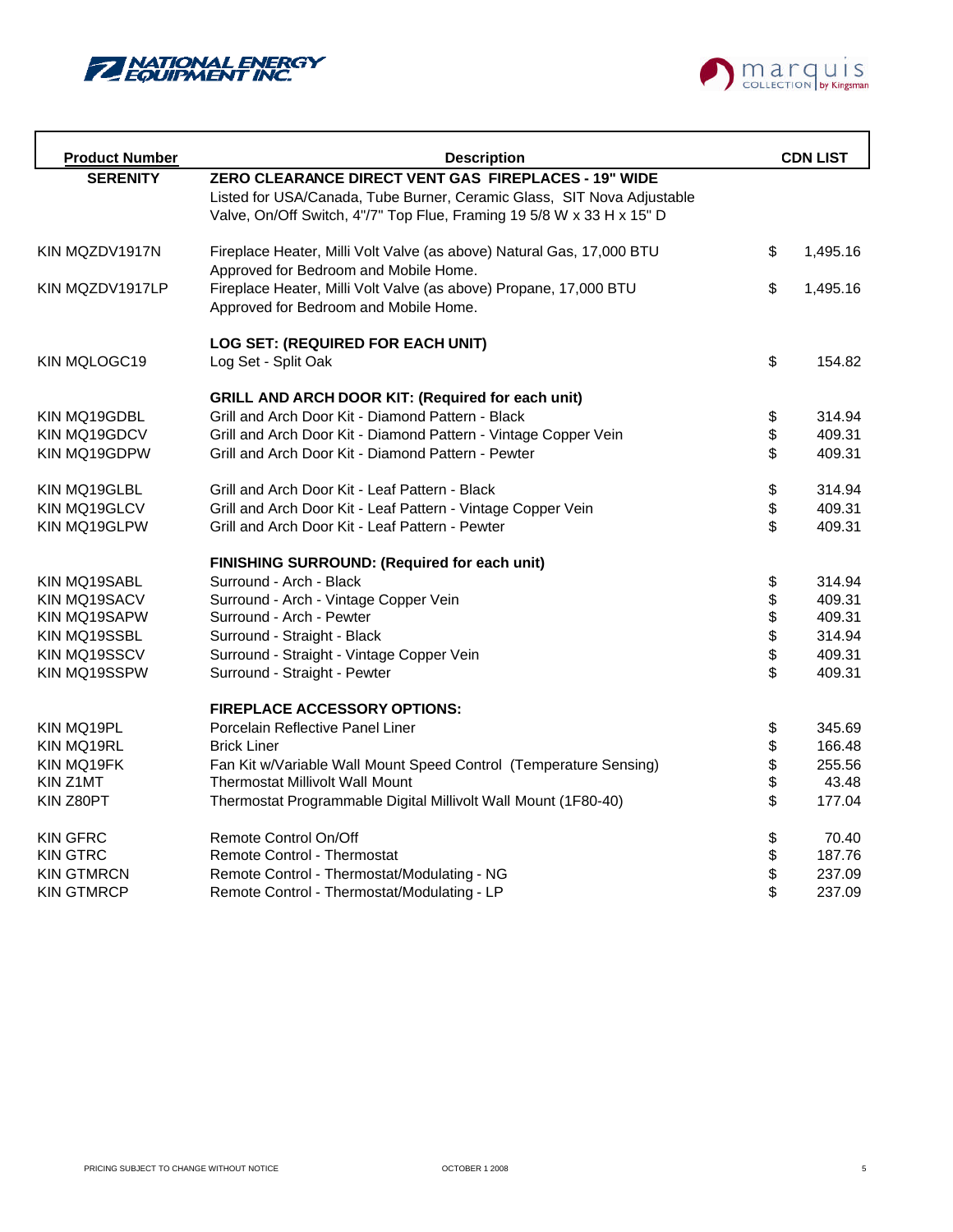



| <b>Product Number</b> | <b>Description</b>                                                     |        | <b>CDN LIST</b> |
|-----------------------|------------------------------------------------------------------------|--------|-----------------|
| <b>SERENITY</b>       | ZERO CLEARANCE DIRECT VENT GAS FIREPLACES - 19" WIDE                   |        |                 |
|                       | Listed for USA/Canada, Tube Burner, Ceramic Glass, SIT Nova Adjustable |        |                 |
|                       | Valve, On/Off Switch, 4"/7" Top Flue, Framing 19 5/8 W x 33 H x 15" D  |        |                 |
| KIN MQZDV1917N        | Fireplace Heater, Milli Volt Valve (as above) Natural Gas, 17,000 BTU  | \$     | 1,495.16        |
|                       | Approved for Bedroom and Mobile Home.                                  |        |                 |
| KIN MQZDV1917LP       | Fireplace Heater, Milli Volt Valve (as above) Propane, 17,000 BTU      | \$     | 1,495.16        |
|                       | Approved for Bedroom and Mobile Home.                                  |        |                 |
|                       | LOG SET: (REQUIRED FOR EACH UNIT)                                      |        |                 |
| KIN MQLOGC19          | Log Set - Split Oak                                                    | \$     | 154.82          |
|                       | <b>GRILL AND ARCH DOOR KIT: (Required for each unit)</b>               |        |                 |
| KIN MQ19GDBL          | Grill and Arch Door Kit - Diamond Pattern - Black                      | \$     | 314.94          |
| KIN MQ19GDCV          | Grill and Arch Door Kit - Diamond Pattern - Vintage Copper Vein        | \$     | 409.31          |
| KIN MQ19GDPW          | Grill and Arch Door Kit - Diamond Pattern - Pewter                     | \$     | 409.31          |
| KIN MQ19GLBL          | Grill and Arch Door Kit - Leaf Pattern - Black                         | \$     | 314.94          |
| KIN MQ19GLCV          | Grill and Arch Door Kit - Leaf Pattern - Vintage Copper Vein           | \$     | 409.31          |
| KIN MQ19GLPW          | Grill and Arch Door Kit - Leaf Pattern - Pewter                        | \$     | 409.31          |
|                       | FINISHING SURROUND: (Required for each unit)                           |        |                 |
| KIN MQ19SABL          | Surround - Arch - Black                                                | \$     | 314.94          |
| KIN MQ19SACV          | Surround - Arch - Vintage Copper Vein                                  |        | 409.31          |
| KIN MQ19SAPW          | Surround - Arch - Pewter                                               |        | 409.31          |
| KIN MQ19SSBL          | Surround - Straight - Black                                            | \$\$\$ | 314.94          |
| KIN MQ19SSCV          | Surround - Straight - Vintage Copper Vein                              |        | 409.31          |
| KIN MQ19SSPW          | Surround - Straight - Pewter                                           | \$     | 409.31          |
|                       | <b>FIREPLACE ACCESSORY OPTIONS:</b>                                    |        |                 |
| KIN MQ19PL            | Porcelain Reflective Panel Liner                                       | \$     | 345.69          |
| KIN MQ19RL            | <b>Brick Liner</b>                                                     | \$     | 166.48          |
| KIN MQ19FK            | Fan Kit w/Variable Wall Mount Speed Control (Temperature Sensing)      | \$     | 255.56          |
| KIN Z1MT              | <b>Thermostat Millivolt Wall Mount</b>                                 |        | 43.48           |
| KIN Z80PT             | Thermostat Programmable Digital Millivolt Wall Mount (1F80-40)         | \$     | 177.04          |
| <b>KIN GFRC</b>       | Remote Control On/Off                                                  | \$     | 70.40           |
| <b>KIN GTRC</b>       | <b>Remote Control - Thermostat</b>                                     | \$     | 187.76          |
| <b>KIN GTMRCN</b>     | Remote Control - Thermostat/Modulating - NG                            | \$     | 237.09          |
| KIN GTMRCP            | Remote Control - Thermostat/Modulating - LP                            | \$     | 237.09          |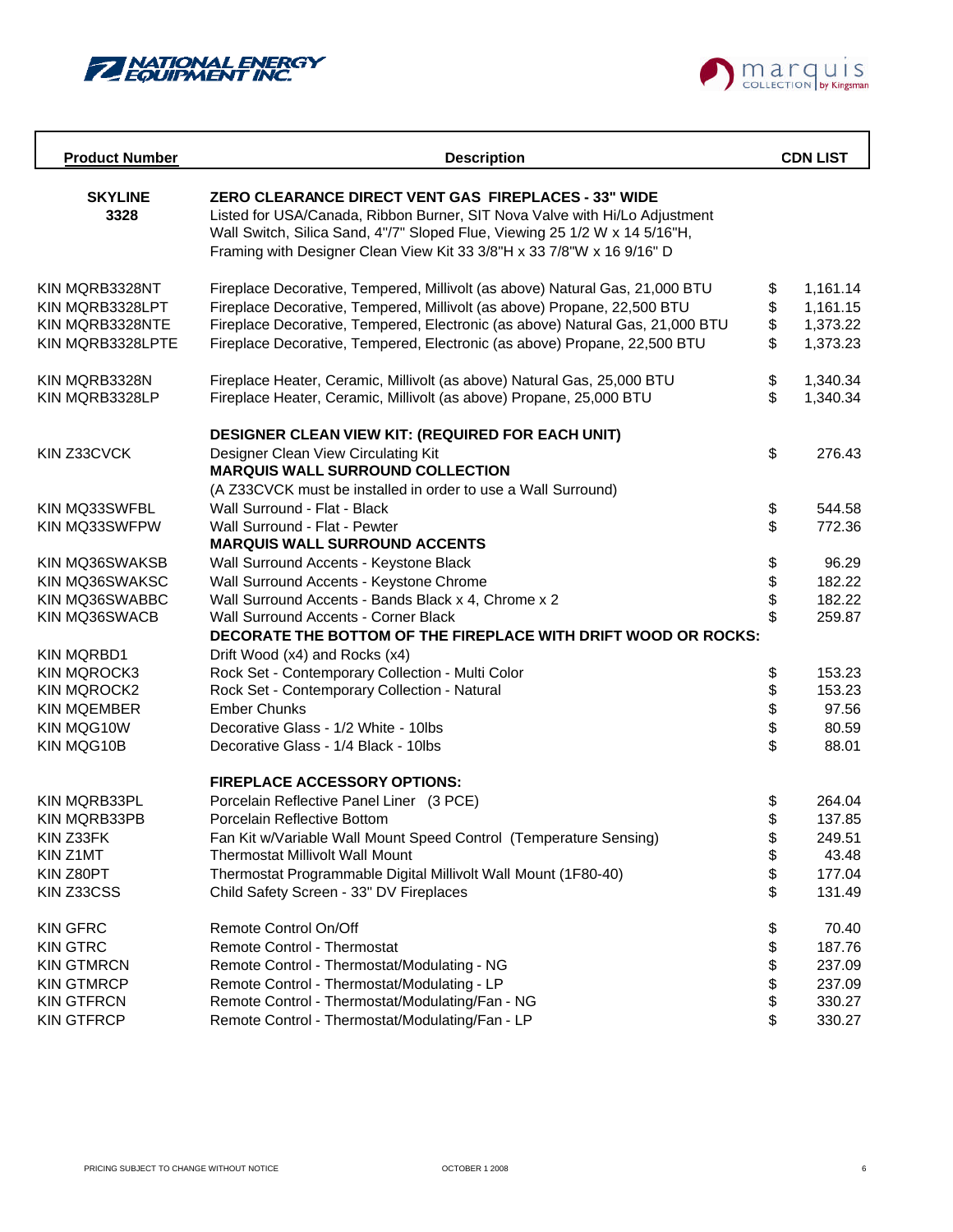



| <b>Product Number</b>                                                    | <b>Description</b>                                                                                                                                                                                                                                                                                                     |                      | <b>CDN LIST</b>                              |
|--------------------------------------------------------------------------|------------------------------------------------------------------------------------------------------------------------------------------------------------------------------------------------------------------------------------------------------------------------------------------------------------------------|----------------------|----------------------------------------------|
| <b>SKYLINE</b><br>3328                                                   | <b>ZERO CLEARANCE DIRECT VENT GAS FIREPLACES - 33" WIDE</b><br>Listed for USA/Canada, Ribbon Burner, SIT Nova Valve with Hi/Lo Adjustment<br>Wall Switch, Silica Sand, 4"/7" Sloped Flue, Viewing 25 1/2 W x 14 5/16"H,<br>Framing with Designer Clean View Kit 33 3/8"H x 33 7/8"W x 16 9/16" D                       |                      |                                              |
| KIN MQRB3328NT<br>KIN MORB3328LPT<br>KIN MQRB3328NTE<br>KIN MQRB3328LPTE | Fireplace Decorative, Tempered, Millivolt (as above) Natural Gas, 21,000 BTU<br>Fireplace Decorative, Tempered, Millivolt (as above) Propane, 22,500 BTU<br>Fireplace Decorative, Tempered, Electronic (as above) Natural Gas, 21,000 BTU<br>Fireplace Decorative, Tempered, Electronic (as above) Propane, 22,500 BTU | \$<br>\$<br>\$<br>\$ | 1,161.14<br>1,161.15<br>1,373.22<br>1,373.23 |
| KIN MQRB3328N<br>KIN MQRB3328LP                                          | Fireplace Heater, Ceramic, Millivolt (as above) Natural Gas, 25,000 BTU<br>Fireplace Heater, Ceramic, Millivolt (as above) Propane, 25,000 BTU                                                                                                                                                                         | \$<br>\$             | 1,340.34<br>1,340.34                         |
| KIN Z33CVCK                                                              | DESIGNER CLEAN VIEW KIT: (REQUIRED FOR EACH UNIT)<br>Designer Clean View Circulating Kit<br><b>MARQUIS WALL SURROUND COLLECTION</b><br>(A Z33CVCK must be installed in order to use a Wall Surround)                                                                                                                   | \$                   | 276.43                                       |
| KIN MQ33SWFBL                                                            | Wall Surround - Flat - Black                                                                                                                                                                                                                                                                                           | \$                   | 544.58                                       |
| KIN MQ33SWFPW                                                            | Wall Surround - Flat - Pewter<br><b>MARQUIS WALL SURROUND ACCENTS</b>                                                                                                                                                                                                                                                  | \$                   | 772.36                                       |
| KIN MQ36SWAKSB                                                           | Wall Surround Accents - Keystone Black                                                                                                                                                                                                                                                                                 | \$                   | 96.29                                        |
| KIN MQ36SWAKSC                                                           | Wall Surround Accents - Keystone Chrome                                                                                                                                                                                                                                                                                | \$                   | 182.22                                       |
| KIN MQ36SWABBC                                                           | Wall Surround Accents - Bands Black x 4, Chrome x 2                                                                                                                                                                                                                                                                    |                      | 182.22                                       |
| KIN MQ36SWACB                                                            | Wall Surround Accents - Corner Black<br>DECORATE THE BOTTOM OF THE FIREPLACE WITH DRIFT WOOD OR ROCKS:                                                                                                                                                                                                                 | \$                   | 259.87                                       |
| <b>KIN MQRBD1</b>                                                        | Drift Wood (x4) and Rocks (x4)                                                                                                                                                                                                                                                                                         |                      |                                              |
| <b>KIN MQROCK3</b>                                                       | Rock Set - Contemporary Collection - Multi Color                                                                                                                                                                                                                                                                       | \$                   | 153.23                                       |
| <b>KIN MQROCK2</b>                                                       | Rock Set - Contemporary Collection - Natural<br><b>Ember Chunks</b>                                                                                                                                                                                                                                                    | \$                   | 153.23<br>97.56                              |
| <b>KIN MQEMBER</b><br>KIN MQG10W                                         | Decorative Glass - 1/2 White - 10lbs                                                                                                                                                                                                                                                                                   | \$<br>\$             | 80.59                                        |
| KIN MQG10B                                                               | Decorative Glass - 1/4 Black - 10lbs                                                                                                                                                                                                                                                                                   | \$                   | 88.01                                        |
|                                                                          | <b>FIREPLACE ACCESSORY OPTIONS:</b>                                                                                                                                                                                                                                                                                    |                      |                                              |
| KIN MQRB33PL                                                             | Porcelain Reflective Panel Liner (3 PCE)                                                                                                                                                                                                                                                                               | \$                   | 264.04                                       |
| KIN MQRB33PB                                                             | Porcelain Reflective Bottom                                                                                                                                                                                                                                                                                            | \$                   | 137.85                                       |
| KIN Z33FK                                                                | Fan Kit w/Variable Wall Mount Speed Control (Temperature Sensing)                                                                                                                                                                                                                                                      | \$                   | 249.51                                       |
| KIN Z1MT                                                                 | Thermostat Millivolt Wall Mount                                                                                                                                                                                                                                                                                        | \$                   | 43.48                                        |
| KIN Z80PT                                                                | Thermostat Programmable Digital Millivolt Wall Mount (1F80-40)                                                                                                                                                                                                                                                         | \$                   | 177.04                                       |
| KIN Z33CSS                                                               | Child Safety Screen - 33" DV Fireplaces                                                                                                                                                                                                                                                                                | \$                   | 131.49                                       |
| <b>KIN GFRC</b>                                                          | Remote Control On/Off                                                                                                                                                                                                                                                                                                  | \$                   | 70.40                                        |
| <b>KIN GTRC</b>                                                          | <b>Remote Control - Thermostat</b>                                                                                                                                                                                                                                                                                     | \$                   | 187.76                                       |
| <b>KIN GTMRCN</b>                                                        | Remote Control - Thermostat/Modulating - NG                                                                                                                                                                                                                                                                            | \$                   | 237.09                                       |
| <b>KIN GTMRCP</b>                                                        | Remote Control - Thermostat/Modulating - LP                                                                                                                                                                                                                                                                            | \$                   | 237.09                                       |
| <b>KIN GTFRCN</b>                                                        | Remote Control - Thermostat/Modulating/Fan - NG                                                                                                                                                                                                                                                                        | \$                   | 330.27                                       |
| <b>KIN GTFRCP</b>                                                        | Remote Control - Thermostat/Modulating/Fan - LP                                                                                                                                                                                                                                                                        | \$                   | 330.27                                       |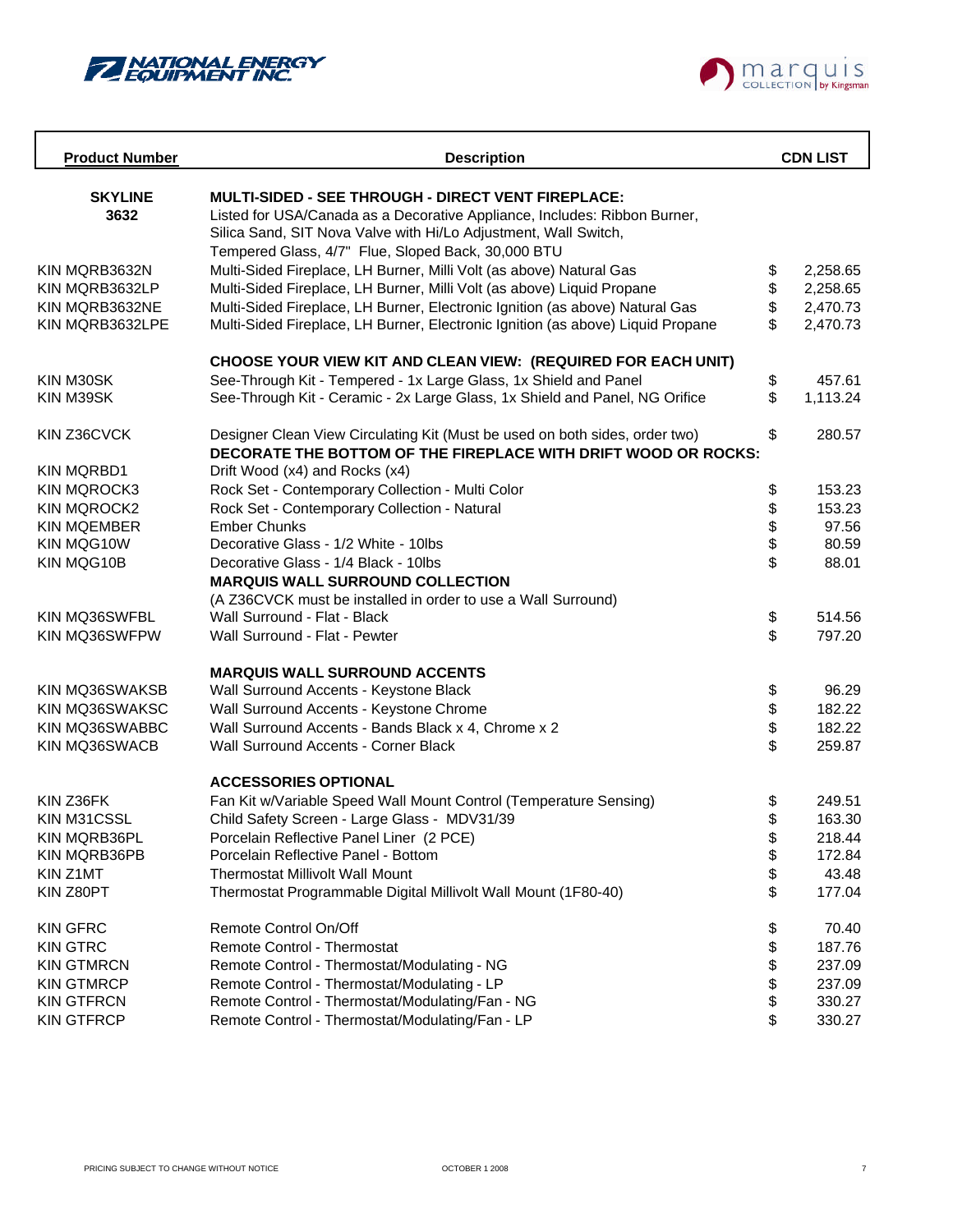



| <b>Product Number</b>    | <b>Description</b>                                                                               |          | <b>CDN LIST</b> |
|--------------------------|--------------------------------------------------------------------------------------------------|----------|-----------------|
| <b>SKYLINE</b>           | MULTI-SIDED - SEE THROUGH - DIRECT VENT FIREPLACE:                                               |          |                 |
| 3632                     | Listed for USA/Canada as a Decorative Appliance, Includes: Ribbon Burner,                        |          |                 |
|                          | Silica Sand, SIT Nova Valve with Hi/Lo Adjustment, Wall Switch,                                  |          |                 |
|                          | Tempered Glass, 4/7" Flue, Sloped Back, 30,000 BTU                                               |          |                 |
| KIN MQRB3632N            | Multi-Sided Fireplace, LH Burner, Milli Volt (as above) Natural Gas                              | \$       | 2,258.65        |
| KIN MQRB3632LP           | Multi-Sided Fireplace, LH Burner, Milli Volt (as above) Liquid Propane                           | \$       | 2,258.65        |
| KIN MQRB3632NE           | Multi-Sided Fireplace, LH Burner, Electronic Ignition (as above) Natural Gas                     | \$       | 2,470.73        |
| KIN MQRB3632LPE          | Multi-Sided Fireplace, LH Burner, Electronic Ignition (as above) Liquid Propane                  | \$       | 2,470.73        |
|                          | CHOOSE YOUR VIEW KIT AND CLEAN VIEW: (REQUIRED FOR EACH UNIT)                                    |          |                 |
| KIN M30SK                | See-Through Kit - Tempered - 1x Large Glass, 1x Shield and Panel                                 | \$       | 457.61          |
| KIN M39SK                | See-Through Kit - Ceramic - 2x Large Glass, 1x Shield and Panel, NG Orifice                      | \$       | 1,113.24        |
| KIN Z36CVCK              | Designer Clean View Circulating Kit (Must be used on both sides, order two)                      | \$       | 280.57          |
| <b>KIN MQRBD1</b>        | DECORATE THE BOTTOM OF THE FIREPLACE WITH DRIFT WOOD OR ROCKS:<br>Drift Wood (x4) and Rocks (x4) |          |                 |
| KIN MQROCK3              | Rock Set - Contemporary Collection - Multi Color                                                 | \$       | 153.23          |
| <b>KIN MQROCK2</b>       | Rock Set - Contemporary Collection - Natural                                                     | \$       | 153.23          |
| <b>KIN MOEMBER</b>       | <b>Ember Chunks</b>                                                                              | \$       | 97.56           |
| KIN MQG10W               | Decorative Glass - 1/2 White - 10lbs                                                             | \$       | 80.59           |
| KIN MQG10B               | Decorative Glass - 1/4 Black - 10lbs                                                             | \$       | 88.01           |
|                          | <b>MARQUIS WALL SURROUND COLLECTION</b>                                                          |          |                 |
|                          | (A Z36CVCK must be installed in order to use a Wall Surround)                                    |          |                 |
| KIN MQ36SWFBL            | Wall Surround - Flat - Black                                                                     | \$       | 514.56          |
| KIN MQ36SWFPW            | Wall Surround - Flat - Pewter                                                                    | \$       | 797.20          |
|                          | <b>MARQUIS WALL SURROUND ACCENTS</b>                                                             |          |                 |
| KIN MQ36SWAKSB           | Wall Surround Accents - Keystone Black                                                           | \$       | 96.29           |
| KIN MQ36SWAKSC           | Wall Surround Accents - Keystone Chrome                                                          | \$       | 182.22          |
| KIN MQ36SWABBC           | Wall Surround Accents - Bands Black x 4, Chrome x 2                                              | \$       | 182.22          |
| KIN MQ36SWACB            | Wall Surround Accents - Corner Black                                                             | \$       | 259.87          |
|                          | <b>ACCESSORIES OPTIONAL</b>                                                                      |          |                 |
| KIN Z36FK                | Fan Kit w/Variable Speed Wall Mount Control (Temperature Sensing)                                | \$       | 249.51          |
| KIN M31CSSL              | Child Safety Screen - Large Glass - MDV31/39                                                     | \$       | 163.30          |
| KIN MQRB36PL             | Porcelain Reflective Panel Liner (2 PCE)                                                         | \$       | 218.44          |
| KIN MQRB36PB<br>KIN Z1MT | Porcelain Reflective Panel - Bottom<br><b>Thermostat Millivolt Wall Mount</b>                    | \$<br>\$ | 172.84<br>43.48 |
| KIN Z80PT                | Thermostat Programmable Digital Millivolt Wall Mount (1F80-40)                                   | \$       | 177.04          |
|                          |                                                                                                  |          |                 |
| <b>KIN GFRC</b>          | Remote Control On/Off                                                                            | \$       | 70.40           |
| <b>KIN GTRC</b>          | <b>Remote Control - Thermostat</b>                                                               | \$       | 187.76          |
| <b>KIN GTMRCN</b>        | Remote Control - Thermostat/Modulating - NG                                                      | \$       | 237.09          |
| <b>KIN GTMRCP</b>        | Remote Control - Thermostat/Modulating - LP                                                      | \$       | 237.09          |
| <b>KIN GTFRCN</b>        | Remote Control - Thermostat/Modulating/Fan - NG                                                  | \$       | 330.27          |
| <b>KIN GTFRCP</b>        | Remote Control - Thermostat/Modulating/Fan - LP                                                  | \$       | 330.27          |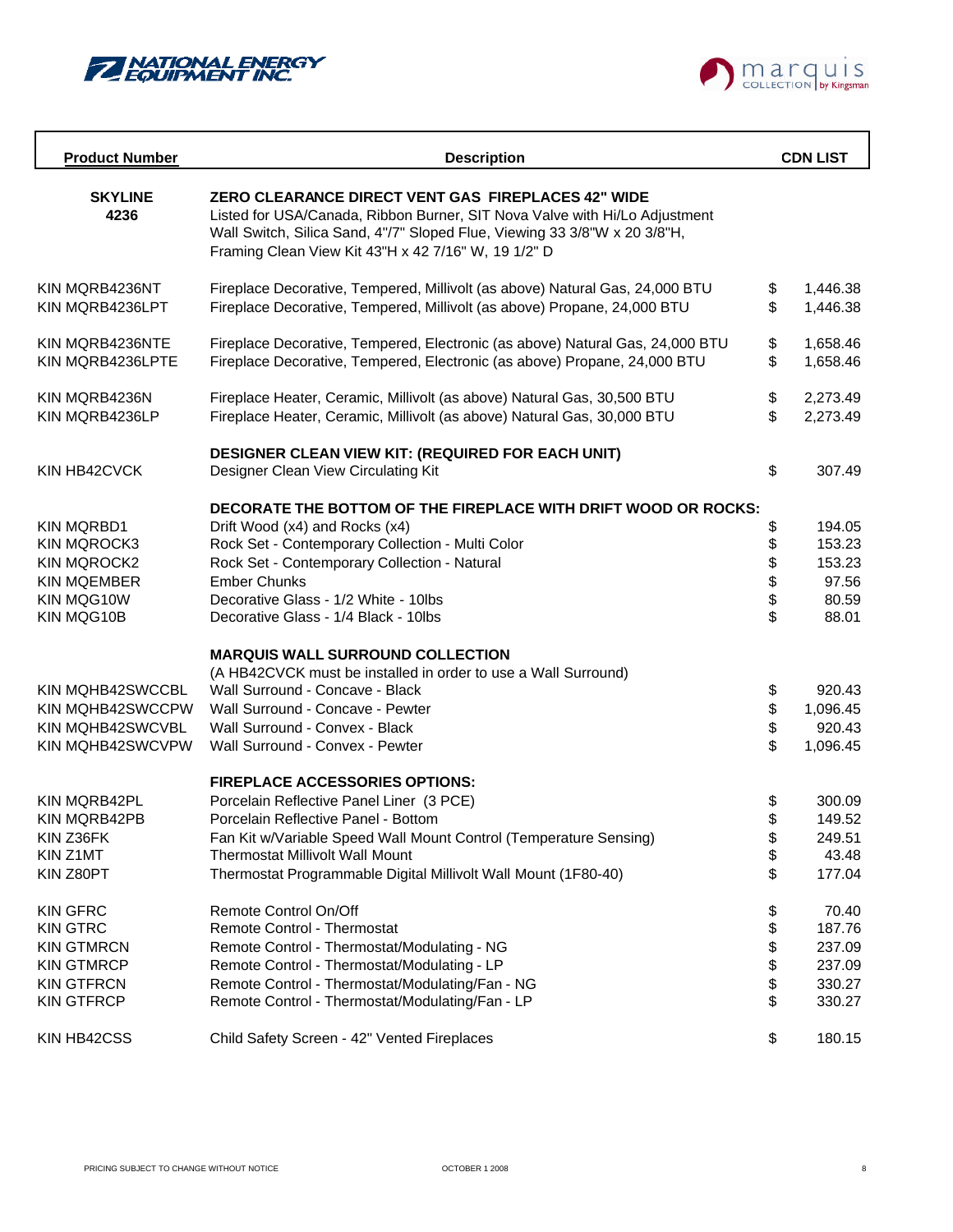



| <b>Product Number</b>   | <b>Description</b>                                                                                                                                                                                                                                                          | <b>CDN LIST</b> |
|-------------------------|-----------------------------------------------------------------------------------------------------------------------------------------------------------------------------------------------------------------------------------------------------------------------------|-----------------|
| <b>SKYLINE</b><br>4236  | <b>ZERO CLEARANCE DIRECT VENT GAS FIREPLACES 42" WIDE</b><br>Listed for USA/Canada, Ribbon Burner, SIT Nova Valve with Hi/Lo Adjustment<br>Wall Switch, Silica Sand, 4"/7" Sloped Flue, Viewing 33 3/8"W x 20 3/8"H,<br>Framing Clean View Kit 43"H x 42 7/16" W, 19 1/2" D |                 |
| KIN MQRB4236NT          | Fireplace Decorative, Tempered, Millivolt (as above) Natural Gas, 24,000 BTU                                                                                                                                                                                                | \$<br>1,446.38  |
| KIN MQRB4236LPT         | Fireplace Decorative, Tempered, Millivolt (as above) Propane, 24,000 BTU                                                                                                                                                                                                    | \$<br>1,446.38  |
| KIN MORB4236NTE         | Fireplace Decorative, Tempered, Electronic (as above) Natural Gas, 24,000 BTU                                                                                                                                                                                               | \$<br>1,658.46  |
| KIN MQRB4236LPTE        | Fireplace Decorative, Tempered, Electronic (as above) Propane, 24,000 BTU                                                                                                                                                                                                   | \$<br>1,658.46  |
| KIN MQRB4236N           | Fireplace Heater, Ceramic, Millivolt (as above) Natural Gas, 30,500 BTU                                                                                                                                                                                                     | \$<br>2,273.49  |
| KIN MQRB4236LP          | Fireplace Heater, Ceramic, Millivolt (as above) Natural Gas, 30,000 BTU                                                                                                                                                                                                     | \$<br>2,273.49  |
|                         | <b>DESIGNER CLEAN VIEW KIT: (REQUIRED FOR EACH UNIT)</b>                                                                                                                                                                                                                    |                 |
| KIN HB42CVCK            | Designer Clean View Circulating Kit                                                                                                                                                                                                                                         | \$<br>307.49    |
|                         | DECORATE THE BOTTOM OF THE FIREPLACE WITH DRIFT WOOD OR ROCKS:                                                                                                                                                                                                              |                 |
| <b>KIN MQRBD1</b>       | Drift Wood (x4) and Rocks (x4)                                                                                                                                                                                                                                              | \$<br>194.05    |
| <b>KIN MQROCK3</b>      | Rock Set - Contemporary Collection - Multi Color                                                                                                                                                                                                                            | \$<br>153.23    |
| <b>KIN MQROCK2</b>      | Rock Set - Contemporary Collection - Natural                                                                                                                                                                                                                                | \$<br>153.23    |
| <b>KIN MQEMBER</b>      | <b>Ember Chunks</b>                                                                                                                                                                                                                                                         | \$<br>97.56     |
| KIN MQG10W              | Decorative Glass - 1/2 White - 10lbs                                                                                                                                                                                                                                        | \$<br>80.59     |
| KIN MQG10B              | Decorative Glass - 1/4 Black - 10lbs                                                                                                                                                                                                                                        | \$<br>88.01     |
|                         | <b>MARQUIS WALL SURROUND COLLECTION</b>                                                                                                                                                                                                                                     |                 |
|                         | (A HB42CVCK must be installed in order to use a Wall Surround)                                                                                                                                                                                                              |                 |
| KIN MQHB42SWCCBL        | Wall Surround - Concave - Black                                                                                                                                                                                                                                             | \$<br>920.43    |
| KIN MQHB42SWCCPW        | Wall Surround - Concave - Pewter                                                                                                                                                                                                                                            | \$<br>1,096.45  |
| <b>KIN MQHB42SWCVBL</b> | Wall Surround - Convex - Black                                                                                                                                                                                                                                              | \$<br>920.43    |
| KIN MQHB42SWCVPW        | Wall Surround - Convex - Pewter                                                                                                                                                                                                                                             | \$<br>1,096.45  |
|                         | <b>FIREPLACE ACCESSORIES OPTIONS:</b>                                                                                                                                                                                                                                       |                 |
| KIN MORB42PL            | Porcelain Reflective Panel Liner (3 PCE)                                                                                                                                                                                                                                    | \$<br>300.09    |
| KIN MQRB42PB            | Porcelain Reflective Panel - Bottom                                                                                                                                                                                                                                         | \$<br>149.52    |
| KIN Z36FK               | Fan Kit w/Variable Speed Wall Mount Control (Temperature Sensing)                                                                                                                                                                                                           | \$<br>249.51    |
| KIN Z1MT                | <b>Thermostat Millivolt Wall Mount</b>                                                                                                                                                                                                                                      | \$<br>43.48     |
| KIN Z80PT               | Thermostat Programmable Digital Millivolt Wall Mount (1F80-40)                                                                                                                                                                                                              | \$<br>177.04    |
| <b>KIN GFRC</b>         | Remote Control On/Off                                                                                                                                                                                                                                                       | \$<br>70.40     |
| <b>KIN GTRC</b>         | <b>Remote Control - Thermostat</b>                                                                                                                                                                                                                                          | \$<br>187.76    |
| <b>KIN GTMRCN</b>       | Remote Control - Thermostat/Modulating - NG                                                                                                                                                                                                                                 | \$<br>237.09    |
| <b>KIN GTMRCP</b>       | Remote Control - Thermostat/Modulating - LP                                                                                                                                                                                                                                 | \$<br>237.09    |
| <b>KIN GTFRCN</b>       | Remote Control - Thermostat/Modulating/Fan - NG                                                                                                                                                                                                                             | \$<br>330.27    |
| <b>KIN GTFRCP</b>       | Remote Control - Thermostat/Modulating/Fan - LP                                                                                                                                                                                                                             | \$<br>330.27    |
| KIN HB42CSS             | Child Safety Screen - 42" Vented Fireplaces                                                                                                                                                                                                                                 | \$<br>180.15    |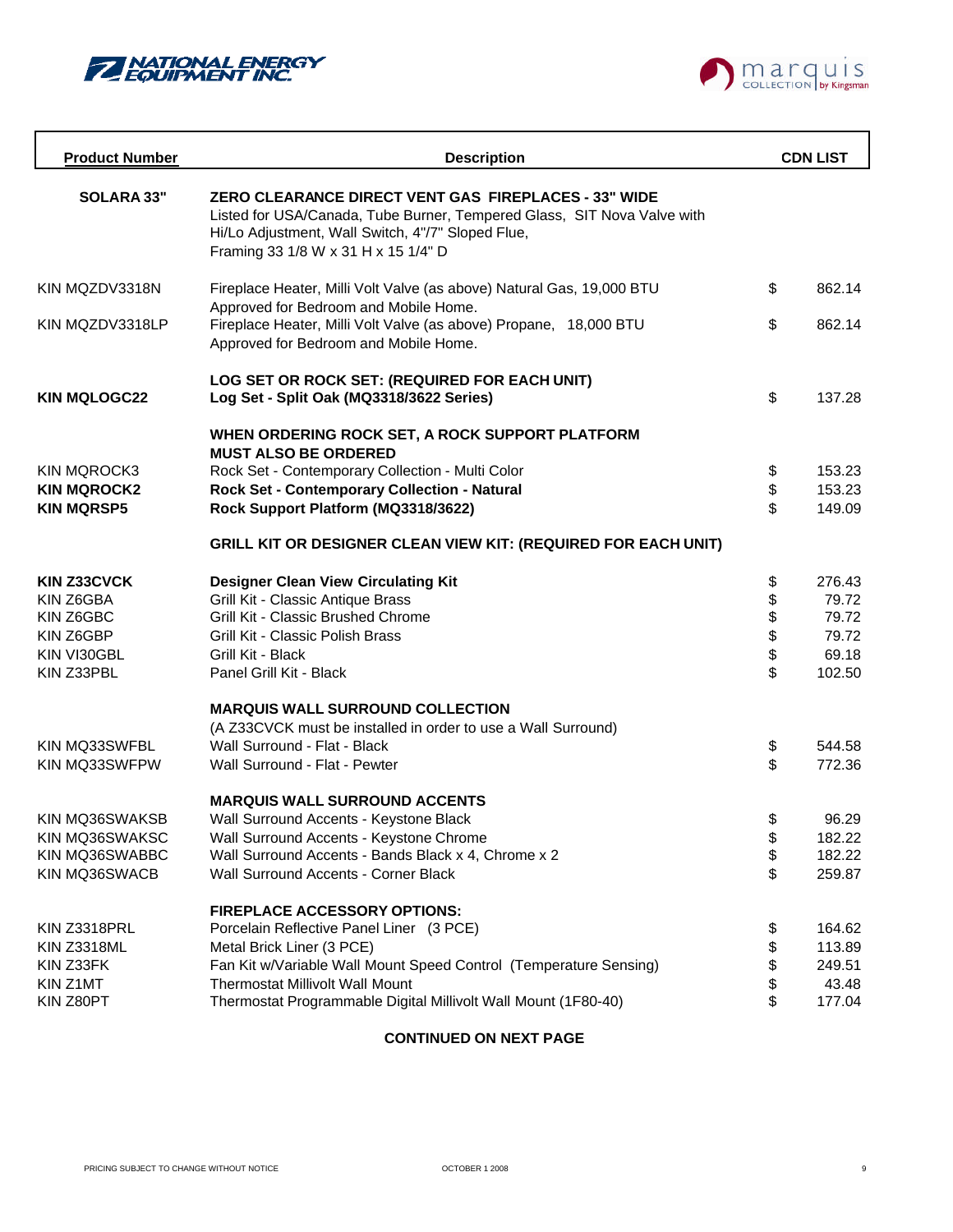



| <b>Product Number</b> | <b>Description</b>                                                                                                                                                                                                                 |          | <b>CDN LIST</b> |
|-----------------------|------------------------------------------------------------------------------------------------------------------------------------------------------------------------------------------------------------------------------------|----------|-----------------|
| <b>SOLARA 33"</b>     | <b>ZERO CLEARANCE DIRECT VENT GAS FIREPLACES - 33" WIDE</b><br>Listed for USA/Canada, Tube Burner, Tempered Glass, SIT Nova Valve with<br>Hi/Lo Adjustment, Wall Switch, 4"/7" Sloped Flue,<br>Framing 33 1/8 W x 31 H x 15 1/4" D |          |                 |
| KIN MQZDV3318N        | Fireplace Heater, Milli Volt Valve (as above) Natural Gas, 19,000 BTU<br>Approved for Bedroom and Mobile Home.                                                                                                                     | \$       | 862.14          |
| KIN MQZDV3318LP       | Fireplace Heater, Milli Volt Valve (as above) Propane, 18,000 BTU<br>Approved for Bedroom and Mobile Home.                                                                                                                         | \$       | 862.14          |
| <b>KIN MQLOGC22</b>   | LOG SET OR ROCK SET: (REQUIRED FOR EACH UNIT)<br>Log Set - Split Oak (MQ3318/3622 Series)                                                                                                                                          | \$       | 137.28          |
|                       | WHEN ORDERING ROCK SET, A ROCK SUPPORT PLATFORM<br><b>MUST ALSO BE ORDERED</b>                                                                                                                                                     |          |                 |
| KIN MQROCK3           | Rock Set - Contemporary Collection - Multi Color                                                                                                                                                                                   | \$       | 153.23          |
| <b>KIN MQROCK2</b>    | Rock Set - Contemporary Collection - Natural                                                                                                                                                                                       | \$       | 153.23          |
| <b>KIN MQRSP5</b>     | Rock Support Platform (MQ3318/3622)                                                                                                                                                                                                | \$       | 149.09          |
|                       | <b>GRILL KIT OR DESIGNER CLEAN VIEW KIT: (REQUIRED FOR EACH UNIT)</b>                                                                                                                                                              |          |                 |
| <b>KIN Z33CVCK</b>    | <b>Designer Clean View Circulating Kit</b>                                                                                                                                                                                         | \$       | 276.43          |
| KIN Z6GBA             | Grill Kit - Classic Antique Brass                                                                                                                                                                                                  | \$       | 79.72           |
| KIN Z6GBC             | Grill Kit - Classic Brushed Chrome                                                                                                                                                                                                 | \$       | 79.72           |
| KIN Z6GBP             | Grill Kit - Classic Polish Brass                                                                                                                                                                                                   | \$       | 79.72           |
| KIN VI30GBL           | Grill Kit - Black                                                                                                                                                                                                                  | \$       | 69.18           |
| KIN Z33PBL            | Panel Grill Kit - Black                                                                                                                                                                                                            | \$       | 102.50          |
|                       | <b>MARQUIS WALL SURROUND COLLECTION</b>                                                                                                                                                                                            |          |                 |
|                       | (A Z33CVCK must be installed in order to use a Wall Surround)                                                                                                                                                                      |          |                 |
| KIN MQ33SWFBL         | Wall Surround - Flat - Black                                                                                                                                                                                                       | \$       | 544.58          |
| KIN MQ33SWFPW         | Wall Surround - Flat - Pewter                                                                                                                                                                                                      | \$       | 772.36          |
|                       | <b>MARQUIS WALL SURROUND ACCENTS</b>                                                                                                                                                                                               |          |                 |
| KIN MQ36SWAKSB        | Wall Surround Accents - Keystone Black                                                                                                                                                                                             | \$       | 96.29           |
| KIN MQ36SWAKSC        | Wall Surround Accents - Keystone Chrome                                                                                                                                                                                            | \$       | 182.22          |
| KIN MQ36SWABBC        | Wall Surround Accents - Bands Black x 4, Chrome x 2                                                                                                                                                                                | \$       | 182.22          |
| KIN MQ36SWACB         | Wall Surround Accents - Corner Black                                                                                                                                                                                               | \$       | 259.87          |
|                       | <b>FIREPLACE ACCESSORY OPTIONS:</b>                                                                                                                                                                                                |          |                 |
| KIN Z3318PRL          | Porcelain Reflective Panel Liner (3 PCE)                                                                                                                                                                                           | \$       | 164.62          |
| KIN Z3318ML           | Metal Brick Liner (3 PCE)                                                                                                                                                                                                          | \$       | 113.89          |
| KIN Z33FK             | Fan Kit w/Variable Wall Mount Speed Control (Temperature Sensing)                                                                                                                                                                  | \$       | 249.51          |
| KIN Z1MT<br>KIN Z80PT | <b>Thermostat Millivolt Wall Mount</b><br>Thermostat Programmable Digital Millivolt Wall Mount (1F80-40)                                                                                                                           | \$<br>\$ | 43.48<br>177.04 |
|                       |                                                                                                                                                                                                                                    |          |                 |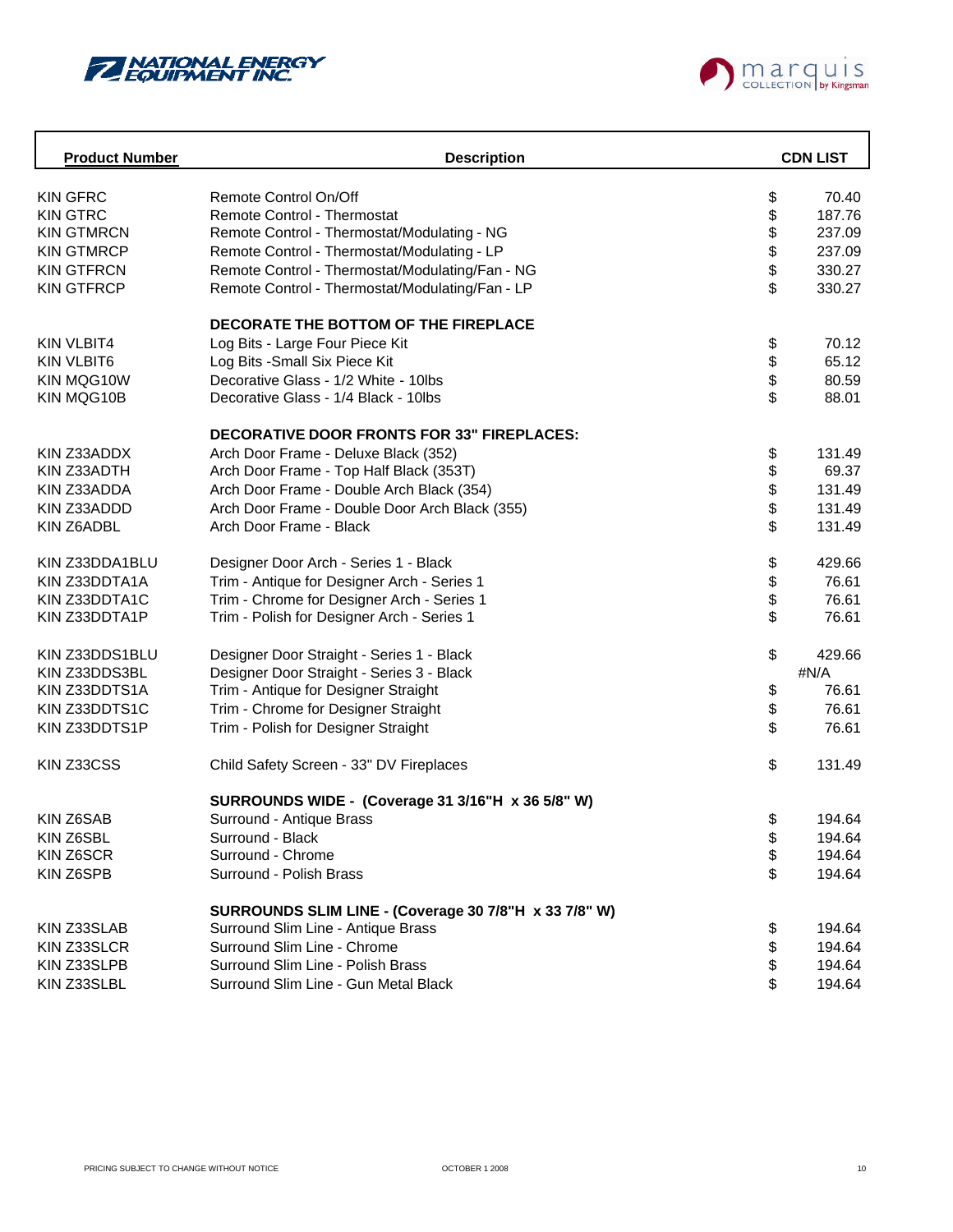



| <b>Product Number</b> | <b>Description</b>                                    |        | <b>CDN LIST</b> |
|-----------------------|-------------------------------------------------------|--------|-----------------|
| <b>KIN GFRC</b>       | Remote Control On/Off                                 | \$     | 70.40           |
| <b>KIN GTRC</b>       | Remote Control - Thermostat                           |        | 187.76          |
| <b>KIN GTMRCN</b>     | Remote Control - Thermostat/Modulating - NG           | \$\$\$ | 237.09          |
| <b>KIN GTMRCP</b>     | Remote Control - Thermostat/Modulating - LP           |        | 237.09          |
| <b>KIN GTFRCN</b>     | Remote Control - Thermostat/Modulating/Fan - NG       |        | 330.27          |
| <b>KIN GTFRCP</b>     | Remote Control - Thermostat/Modulating/Fan - LP       | \$     | 330.27          |
|                       | DECORATE THE BOTTOM OF THE FIREPLACE                  |        |                 |
| <b>KIN VLBIT4</b>     | Log Bits - Large Four Piece Kit                       | \$     | 70.12           |
| <b>KIN VLBIT6</b>     | Log Bits - Small Six Piece Kit                        | \$     | 65.12           |
| KIN MQG10W            | Decorative Glass - 1/2 White - 10lbs                  | \$     | 80.59           |
| KIN MQG10B            | Decorative Glass - 1/4 Black - 10lbs                  | \$     | 88.01           |
|                       | <b>DECORATIVE DOOR FRONTS FOR 33" FIREPLACES:</b>     |        |                 |
| KIN Z33ADDX           | Arch Door Frame - Deluxe Black (352)                  |        | 131.49          |
| KIN Z33ADTH           | Arch Door Frame - Top Half Black (353T)               | \$     | 69.37           |
| KIN Z33ADDA           | Arch Door Frame - Double Arch Black (354)             | \$     | 131.49          |
| KIN Z33ADDD           | Arch Door Frame - Double Door Arch Black (355)        | \$     | 131.49          |
| KIN Z6ADBL            | Arch Door Frame - Black                               | \$     | 131.49          |
| KIN Z33DDA1BLU        | Designer Door Arch - Series 1 - Black                 | \$     | 429.66          |
| KIN Z33DDTA1A         | Trim - Antique for Designer Arch - Series 1           | \$     | 76.61           |
| KIN Z33DDTA1C         | Trim - Chrome for Designer Arch - Series 1            | \$     | 76.61           |
| KIN Z33DDTA1P         | Trim - Polish for Designer Arch - Series 1            | \$     | 76.61           |
| KIN Z33DDS1BLU        | Designer Door Straight - Series 1 - Black             | \$     | 429.66          |
| KIN Z33DDS3BL         | Designer Door Straight - Series 3 - Black             |        | #N/A            |
| KIN Z33DDTS1A         | Trim - Antique for Designer Straight                  | \$     | 76.61           |
| KIN Z33DDTS1C         | Trim - Chrome for Designer Straight                   | \$     | 76.61           |
| KIN Z33DDTS1P         | Trim - Polish for Designer Straight                   | \$     | 76.61           |
| KIN Z33CSS            | Child Safety Screen - 33" DV Fireplaces               | \$     | 131.49          |
|                       | SURROUNDS WIDE - (Coverage 31 3/16"H x 36 5/8" W)     |        |                 |
| KIN Z6SAB             | Surround - Antique Brass                              | \$     | 194.64          |
| KIN Z6SBL             | Surround - Black                                      | \$     | 194.64          |
| KIN Z6SCR             | Surround - Chrome                                     | \$     | 194.64          |
| KIN Z6SPB             | Surround - Polish Brass                               | \$     | 194.64          |
|                       | SURROUNDS SLIM LINE - (Coverage 30 7/8"H x 33 7/8" W) |        |                 |
| KIN Z33SLAB           | Surround Slim Line - Antique Brass                    | \$     | 194.64          |
| KIN Z33SLCR           | Surround Slim Line - Chrome                           | \$     | 194.64          |
| KIN Z33SLPB           | Surround Slim Line - Polish Brass                     | \$     | 194.64          |
| KIN Z33SLBL           | Surround Slim Line - Gun Metal Black                  | \$     | 194.64          |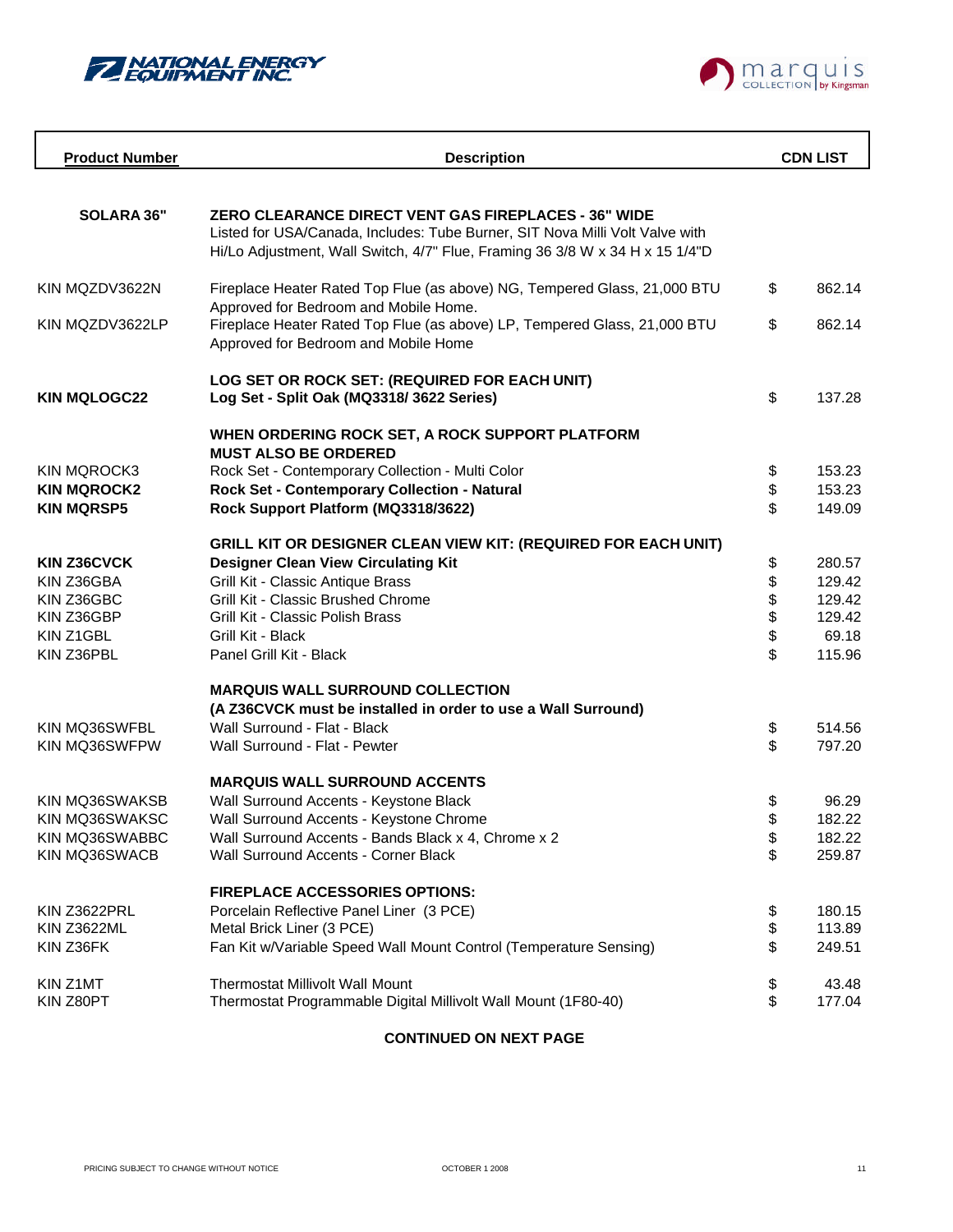



| <b>Product Number</b>           | <b>Description</b>                                                                                                                                                                                                   |          | <b>CDN LIST</b>  |
|---------------------------------|----------------------------------------------------------------------------------------------------------------------------------------------------------------------------------------------------------------------|----------|------------------|
|                                 |                                                                                                                                                                                                                      |          |                  |
| SOLARA 36"                      | ZERO CLEARANCE DIRECT VENT GAS FIREPLACES - 36" WIDE<br>Listed for USA/Canada, Includes: Tube Burner, SIT Nova Milli Volt Valve with<br>Hi/Lo Adjustment, Wall Switch, 4/7" Flue, Framing 36 3/8 W x 34 H x 15 1/4"D |          |                  |
| KIN MQZDV3622N                  | Fireplace Heater Rated Top Flue (as above) NG, Tempered Glass, 21,000 BTU                                                                                                                                            | \$       | 862.14           |
| KIN MQZDV3622LP                 | Approved for Bedroom and Mobile Home.<br>Fireplace Heater Rated Top Flue (as above) LP, Tempered Glass, 21,000 BTU<br>Approved for Bedroom and Mobile Home                                                           | \$       | 862.14           |
| <b>KIN MQLOGC22</b>             | LOG SET OR ROCK SET: (REQUIRED FOR EACH UNIT)<br>Log Set - Split Oak (MQ3318/3622 Series)                                                                                                                            | \$       | 137.28           |
|                                 | WHEN ORDERING ROCK SET, A ROCK SUPPORT PLATFORM                                                                                                                                                                      |          |                  |
| KIN MQROCK3                     | <b>MUST ALSO BE ORDERED</b><br>Rock Set - Contemporary Collection - Multi Color                                                                                                                                      | \$       | 153.23           |
| <b>KIN MQROCK2</b>              | Rock Set - Contemporary Collection - Natural                                                                                                                                                                         | \$       | 153.23           |
| <b>KIN MQRSP5</b>               | Rock Support Platform (MQ3318/3622)                                                                                                                                                                                  | \$       | 149.09           |
|                                 | <b>GRILL KIT OR DESIGNER CLEAN VIEW KIT: (REQUIRED FOR EACH UNIT)</b>                                                                                                                                                |          |                  |
| <b>KIN Z36CVCK</b>              | <b>Designer Clean View Circulating Kit</b>                                                                                                                                                                           | \$       | 280.57           |
| KIN Z36GBA                      | Grill Kit - Classic Antique Brass                                                                                                                                                                                    | \$       | 129.42           |
| KIN Z36GBC                      | Grill Kit - Classic Brushed Chrome                                                                                                                                                                                   | \$<br>\$ | 129.42           |
| KIN Z36GBP                      | Grill Kit - Classic Polish Brass                                                                                                                                                                                     |          | 129.42           |
| KIN Z1GBL                       | Grill Kit - Black                                                                                                                                                                                                    | \$       | 69.18            |
| KIN Z36PBL                      | Panel Grill Kit - Black                                                                                                                                                                                              | \$       | 115.96           |
|                                 | <b>MARQUIS WALL SURROUND COLLECTION</b>                                                                                                                                                                              |          |                  |
|                                 | (A Z36CVCK must be installed in order to use a Wall Surround)                                                                                                                                                        |          |                  |
| KIN MQ36SWFBL<br>KIN MQ36SWFPW  | Wall Surround - Flat - Black<br>Wall Surround - Flat - Pewter                                                                                                                                                        | \$<br>\$ | 514.56<br>797.20 |
|                                 |                                                                                                                                                                                                                      |          |                  |
|                                 | <b>MARQUIS WALL SURROUND ACCENTS</b>                                                                                                                                                                                 |          |                  |
| KIN MQ36SWAKSB                  | Wall Surround Accents - Keystone Black                                                                                                                                                                               | \$       | 96.29            |
| KIN MQ36SWAKSC                  | Wall Surround Accents - Keystone Chrome                                                                                                                                                                              | \$       | 182.22           |
| KIN MQ36SWABBC<br>KIN MQ36SWACB | Wall Surround Accents - Bands Black x 4, Chrome x 2<br>Wall Surround Accents - Corner Black                                                                                                                          | \$<br>\$ | 182.22<br>259.87 |
|                                 |                                                                                                                                                                                                                      |          |                  |
|                                 | <b>FIREPLACE ACCESSORIES OPTIONS:</b>                                                                                                                                                                                |          |                  |
| KIN Z3622PRL<br>KIN Z3622ML     | Porcelain Reflective Panel Liner (3 PCE)<br>Metal Brick Liner (3 PCE)                                                                                                                                                | \$<br>\$ | 180.15<br>113.89 |
| KIN Z36FK                       | Fan Kit w/Variable Speed Wall Mount Control (Temperature Sensing)                                                                                                                                                    | \$       | 249.51           |
|                                 |                                                                                                                                                                                                                      |          |                  |
| KIN Z1MT                        | <b>Thermostat Millivolt Wall Mount</b>                                                                                                                                                                               | \$       | 43.48            |
| KIN Z80PT                       | Thermostat Programmable Digital Millivolt Wall Mount (1F80-40)                                                                                                                                                       | \$       | 177.04           |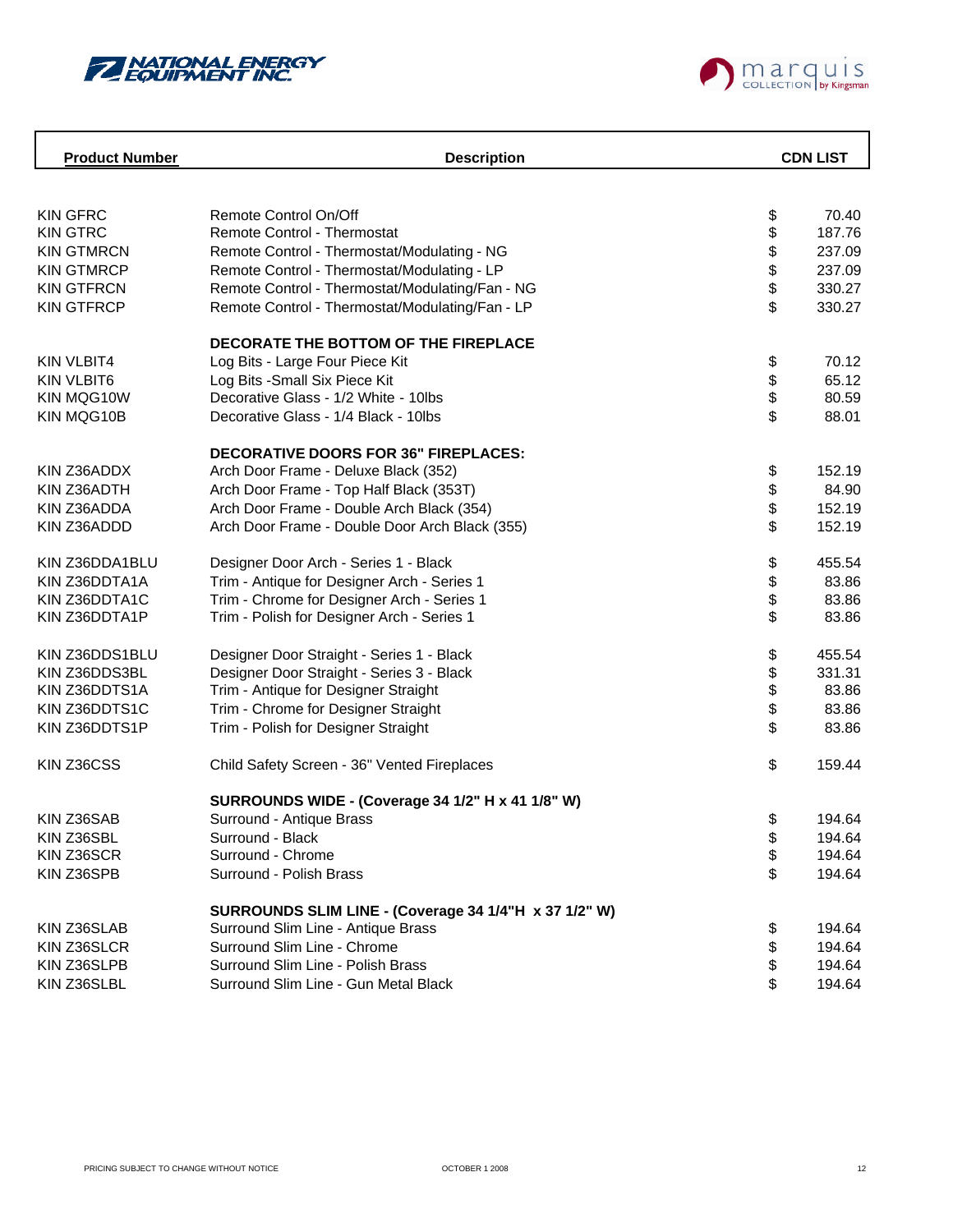



| <b>Product Number</b> | <b>Description</b>                                    |      | <b>CDN LIST</b> |
|-----------------------|-------------------------------------------------------|------|-----------------|
|                       |                                                       |      |                 |
| <b>KIN GFRC</b>       | Remote Control On/Off                                 | \$   | 70.40           |
| <b>KIN GTRC</b>       | <b>Remote Control - Thermostat</b>                    | \$   | 187.76          |
| <b>KIN GTMRCN</b>     | Remote Control - Thermostat/Modulating - NG           |      | 237.09          |
| <b>KIN GTMRCP</b>     | Remote Control - Thermostat/Modulating - LP           |      | 237.09          |
| <b>KIN GTFRCN</b>     | Remote Control - Thermostat/Modulating/Fan - NG       | \$\$ | 330.27          |
| <b>KIN GTFRCP</b>     | Remote Control - Thermostat/Modulating/Fan - LP       | \$   | 330.27          |
|                       | DECORATE THE BOTTOM OF THE FIREPLACE                  |      |                 |
| <b>KIN VLBIT4</b>     | Log Bits - Large Four Piece Kit                       | \$   | 70.12           |
| <b>KIN VLBIT6</b>     | Log Bits - Small Six Piece Kit                        |      | 65.12           |
| KIN MQG10W            | Decorative Glass - 1/2 White - 10lbs                  | \$   | 80.59           |
| KIN MQG10B            | Decorative Glass - 1/4 Black - 10lbs                  | \$   | 88.01           |
|                       | <b>DECORATIVE DOORS FOR 36" FIREPLACES:</b>           |      |                 |
| KIN Z36ADDX           | Arch Door Frame - Deluxe Black (352)                  | \$   | 152.19          |
| KIN Z36ADTH           | Arch Door Frame - Top Half Black (353T)               | \$   | 84.90           |
| KIN Z36ADDA           | Arch Door Frame - Double Arch Black (354)             | \$   | 152.19          |
| KIN Z36ADDD           | Arch Door Frame - Double Door Arch Black (355)        | \$   | 152.19          |
| KIN Z36DDA1BLU        | Designer Door Arch - Series 1 - Black                 | \$   | 455.54          |
| KIN Z36DDTA1A         | Trim - Antique for Designer Arch - Series 1           | \$   | 83.86           |
| KIN Z36DDTA1C         | Trim - Chrome for Designer Arch - Series 1            | \$   | 83.86           |
| KIN Z36DDTA1P         | Trim - Polish for Designer Arch - Series 1            | \$   | 83.86           |
| KIN Z36DDS1BLU        | Designer Door Straight - Series 1 - Black             | \$   | 455.54          |
| KIN Z36DDS3BL         | Designer Door Straight - Series 3 - Black             | \$   | 331.31          |
| KIN Z36DDTS1A         | Trim - Antique for Designer Straight                  | \$   | 83.86           |
| KIN Z36DDTS1C         | Trim - Chrome for Designer Straight                   | \$   | 83.86           |
| KIN Z36DDTS1P         | Trim - Polish for Designer Straight                   | \$   | 83.86           |
| KIN Z36CSS            | Child Safety Screen - 36" Vented Fireplaces           | \$   | 159.44          |
|                       | SURROUNDS WIDE - (Coverage 34 1/2" H x 41 1/8" W)     |      |                 |
| KIN Z36SAB            | Surround - Antique Brass                              | \$   | 194.64          |
| KIN Z36SBL            | Surround - Black                                      | \$   | 194.64          |
| KIN Z36SCR            | Surround - Chrome                                     | \$   | 194.64          |
| KIN Z36SPB            | Surround - Polish Brass                               | \$   | 194.64          |
|                       | SURROUNDS SLIM LINE - (Coverage 34 1/4"H x 37 1/2" W) |      |                 |
| KIN Z36SLAB           | Surround Slim Line - Antique Brass                    | \$   | 194.64          |
| KIN Z36SLCR           | Surround Slim Line - Chrome                           | \$   | 194.64          |
| KIN Z36SLPB           | Surround Slim Line - Polish Brass                     | \$   | 194.64          |
| KIN Z36SLBL           | Surround Slim Line - Gun Metal Black                  | \$   | 194.64          |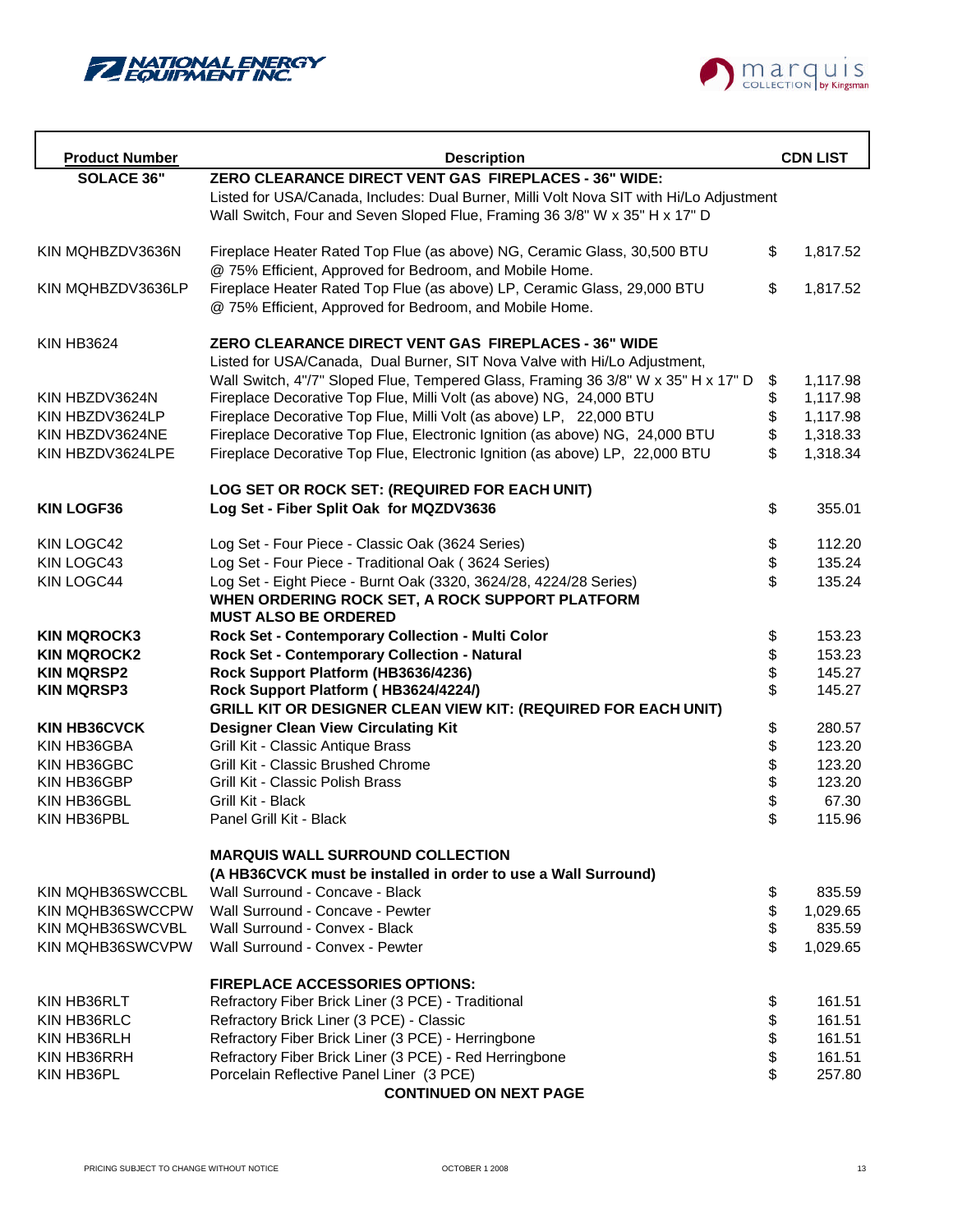



| <b>Product Number</b> | <b>Description</b>                                                                                                                                                    |          | <b>CDN LIST</b> |
|-----------------------|-----------------------------------------------------------------------------------------------------------------------------------------------------------------------|----------|-----------------|
| <b>SOLACE 36"</b>     | ZERO CLEARANCE DIRECT VENT GAS FIREPLACES - 36" WIDE:                                                                                                                 |          |                 |
|                       | Listed for USA/Canada, Includes: Dual Burner, Milli Volt Nova SIT with Hi/Lo Adjustment<br>Wall Switch, Four and Seven Sloped Flue, Framing 36 3/8" W x 35" H x 17" D |          |                 |
| KIN MOHBZDV3636N      | Fireplace Heater Rated Top Flue (as above) NG, Ceramic Glass, 30,500 BTU<br>@ 75% Efficient, Approved for Bedroom, and Mobile Home.                                   | \$       | 1,817.52        |
| KIN MOHBZDV3636LP     | Fireplace Heater Rated Top Flue (as above) LP, Ceramic Glass, 29,000 BTU<br>@ 75% Efficient, Approved for Bedroom, and Mobile Home.                                   | \$       | 1,817.52        |
| <b>KIN HB3624</b>     | <b>ZERO CLEARANCE DIRECT VENT GAS FIREPLACES - 36" WIDE</b><br>Listed for USA/Canada, Dual Burner, SIT Nova Valve with Hi/Lo Adjustment,                              |          |                 |
|                       | Wall Switch, 4"/7" Sloped Flue, Tempered Glass, Framing 36 3/8" W x 35" H x 17" D                                                                                     | \$       | 1,117.98        |
| KIN HBZDV3624N        | Fireplace Decorative Top Flue, Milli Volt (as above) NG, 24,000 BTU                                                                                                   | \$       | 1,117.98        |
| KIN HBZDV3624LP       | Fireplace Decorative Top Flue, Milli Volt (as above) LP, 22,000 BTU                                                                                                   | \$       | 1,117.98        |
| KIN HBZDV3624NE       | Fireplace Decorative Top Flue, Electronic Ignition (as above) NG, 24,000 BTU                                                                                          | \$       | 1,318.33        |
| KIN HBZDV3624LPE      | Fireplace Decorative Top Flue, Electronic Ignition (as above) LP, 22,000 BTU                                                                                          | \$       | 1,318.34        |
|                       | LOG SET OR ROCK SET: (REQUIRED FOR EACH UNIT)                                                                                                                         |          |                 |
| <b>KIN LOGF36</b>     | Log Set - Fiber Split Oak for MQZDV3636                                                                                                                               | \$       | 355.01          |
| KIN LOGC42            | Log Set - Four Piece - Classic Oak (3624 Series)                                                                                                                      | \$       | 112.20          |
| KIN LOGC43            | Log Set - Four Piece - Traditional Oak (3624 Series)                                                                                                                  | \$       | 135.24          |
| KIN LOGC44            | Log Set - Eight Piece - Burnt Oak (3320, 3624/28, 4224/28 Series)<br>WHEN ORDERING ROCK SET, A ROCK SUPPORT PLATFORM                                                  | \$       | 135.24          |
|                       | <b>MUST ALSO BE ORDERED</b>                                                                                                                                           |          |                 |
| <b>KIN MQROCK3</b>    | Rock Set - Contemporary Collection - Multi Color                                                                                                                      | \$       | 153.23          |
| <b>KIN MQROCK2</b>    | Rock Set - Contemporary Collection - Natural                                                                                                                          | \$       | 153.23          |
| <b>KIN MQRSP2</b>     | Rock Support Platform (HB3636/4236)                                                                                                                                   | \$       | 145.27          |
| <b>KIN MQRSP3</b>     | Rock Support Platform (HB3624/4224/)                                                                                                                                  | \$       | 145.27          |
|                       | GRILL KIT OR DESIGNER CLEAN VIEW KIT: (REQUIRED FOR EACH UNIT)                                                                                                        |          |                 |
| <b>KIN HB36CVCK</b>   | <b>Designer Clean View Circulating Kit</b>                                                                                                                            | \$       | 280.57          |
| KIN HB36GBA           | Grill Kit - Classic Antique Brass                                                                                                                                     | \$       | 123.20          |
| KIN HB36GBC           | Grill Kit - Classic Brushed Chrome                                                                                                                                    |          | 123.20          |
| KIN HB36GBP           | Grill Kit - Classic Polish Brass                                                                                                                                      | \$\$     | 123.20          |
| KIN HB36GBL           | Grill Kit - Black                                                                                                                                                     |          | 67.30           |
| KIN HB36PBL           | Panel Grill Kit - Black                                                                                                                                               | \$       | 115.96          |
|                       | <b>MARQUIS WALL SURROUND COLLECTION</b>                                                                                                                               |          |                 |
|                       | (A HB36CVCK must be installed in order to use a Wall Surround)                                                                                                        |          |                 |
| KIN MQHB36SWCCBL      | Wall Surround - Concave - Black                                                                                                                                       | \$       | 835.59          |
| KIN MQHB36SWCCPW      | Wall Surround - Concave - Pewter                                                                                                                                      | \$<br>\$ | 1,029.65        |
| KIN MQHB36SWCVBL      | Wall Surround - Convex - Black                                                                                                                                        |          | 835.59          |
| KIN MQHB36SWCVPW      | Wall Surround - Convex - Pewter                                                                                                                                       | \$       | 1,029.65        |
|                       | <b>FIREPLACE ACCESSORIES OPTIONS:</b>                                                                                                                                 |          |                 |
| KIN HB36RLT           | Refractory Fiber Brick Liner (3 PCE) - Traditional                                                                                                                    | \$       | 161.51          |
| KIN HB36RLC           | Refractory Brick Liner (3 PCE) - Classic                                                                                                                              | \$       | 161.51          |
| KIN HB36RLH           | Refractory Fiber Brick Liner (3 PCE) - Herringbone                                                                                                                    | \$       | 161.51          |
| KIN HB36RRH           | Refractory Fiber Brick Liner (3 PCE) - Red Herringbone                                                                                                                |          | 161.51          |
| KIN HB36PL            | Porcelain Reflective Panel Liner (3 PCE)                                                                                                                              | \$       | 257.80          |
|                       | <b>CONTINUED ON NEXT PAGE</b>                                                                                                                                         |          |                 |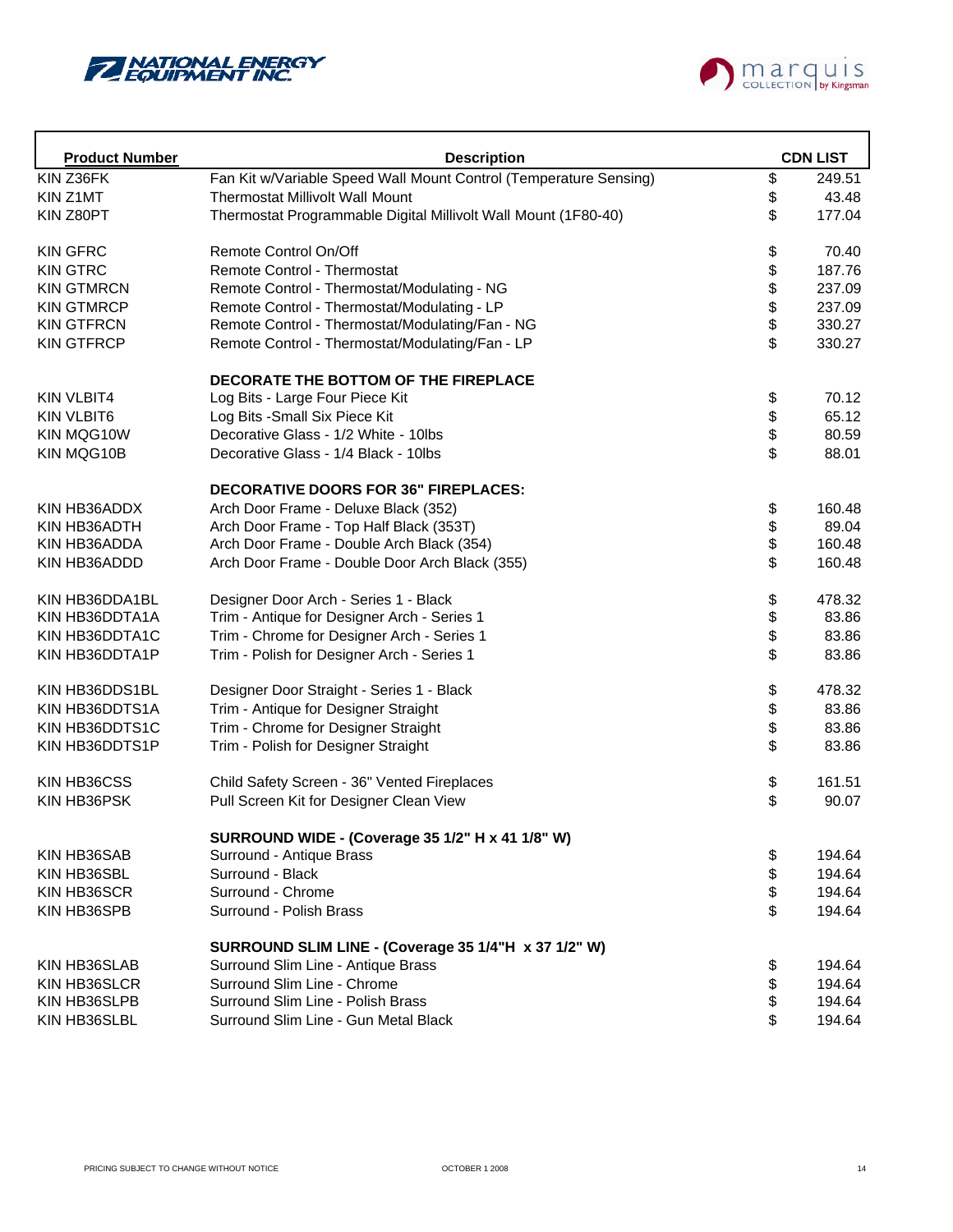



| <b>Product Number</b> | <b>Description</b>                                                |      | <b>CDN LIST</b> |
|-----------------------|-------------------------------------------------------------------|------|-----------------|
| KIN Z36FK             | Fan Kit w/Variable Speed Wall Mount Control (Temperature Sensing) | \$   | 249.51          |
| KIN Z1MT              | <b>Thermostat Millivolt Wall Mount</b>                            | \$   | 43.48           |
| KIN Z80PT             | Thermostat Programmable Digital Millivolt Wall Mount (1F80-40)    | \$   | 177.04          |
| <b>KIN GFRC</b>       | Remote Control On/Off                                             | \$   | 70.40           |
| <b>KIN GTRC</b>       | Remote Control - Thermostat                                       | \$   | 187.76          |
| <b>KIN GTMRCN</b>     | Remote Control - Thermostat/Modulating - NG                       | \$\$ | 237.09          |
| <b>KIN GTMRCP</b>     | Remote Control - Thermostat/Modulating - LP                       |      | 237.09          |
| <b>KIN GTFRCN</b>     | Remote Control - Thermostat/Modulating/Fan - NG                   |      | 330.27          |
| <b>KIN GTFRCP</b>     | Remote Control - Thermostat/Modulating/Fan - LP                   | \$   | 330.27          |
|                       | DECORATE THE BOTTOM OF THE FIREPLACE                              |      |                 |
| <b>KIN VLBIT4</b>     | Log Bits - Large Four Piece Kit                                   | \$   | 70.12           |
| <b>KIN VLBIT6</b>     | Log Bits - Small Six Piece Kit                                    | \$   | 65.12           |
| KIN MQG10W            | Decorative Glass - 1/2 White - 10lbs                              | \$   | 80.59           |
| KIN MQG10B            | Decorative Glass - 1/4 Black - 10lbs                              | \$   | 88.01           |
|                       | <b>DECORATIVE DOORS FOR 36" FIREPLACES:</b>                       |      |                 |
| KIN HB36ADDX          | Arch Door Frame - Deluxe Black (352)                              | \$   | 160.48          |
| KIN HB36ADTH          | Arch Door Frame - Top Half Black (353T)                           | \$   | 89.04           |
| KIN HB36ADDA          | Arch Door Frame - Double Arch Black (354)                         |      | 160.48          |
| KIN HB36ADDD          | Arch Door Frame - Double Door Arch Black (355)                    | \$   | 160.48          |
| KIN HB36DDA1BL        | Designer Door Arch - Series 1 - Black                             | \$   | 478.32          |
| KIN HB36DDTA1A        | Trim - Antique for Designer Arch - Series 1                       | \$   | 83.86           |
| KIN HB36DDTA1C        | Trim - Chrome for Designer Arch - Series 1                        | \$   | 83.86           |
| KIN HB36DDTA1P        | Trim - Polish for Designer Arch - Series 1                        | \$   | 83.86           |
| KIN HB36DDS1BL        | Designer Door Straight - Series 1 - Black                         | \$   | 478.32          |
| KIN HB36DDTS1A        | Trim - Antique for Designer Straight                              | \$   | 83.86           |
| KIN HB36DDTS1C        | Trim - Chrome for Designer Straight                               | \$   | 83.86           |
| KIN HB36DDTS1P        | Trim - Polish for Designer Straight                               | \$   | 83.86           |
| KIN HB36CSS           | Child Safety Screen - 36" Vented Fireplaces                       | \$   | 161.51          |
| KIN HB36PSK           | Pull Screen Kit for Designer Clean View                           | \$   | 90.07           |
|                       | SURROUND WIDE - (Coverage 35 1/2" H x 41 1/8" W)                  |      |                 |
| KIN HB36SAB           | Surround - Antique Brass                                          | \$   | 194.64          |
| KIN HB36SBL           | Surround - Black                                                  | \$   | 194.64          |
| KIN HB36SCR           | Surround - Chrome                                                 | \$   | 194.64          |
| KIN HB36SPB           | Surround - Polish Brass                                           | \$   | 194.64          |
|                       | SURROUND SLIM LINE - (Coverage 35 1/4"H x 37 1/2" W)              |      |                 |
| KIN HB36SLAB          | Surround Slim Line - Antique Brass                                | \$   | 194.64          |
| KIN HB36SLCR          | Surround Slim Line - Chrome                                       | \$   | 194.64          |
| KIN HB36SLPB          | Surround Slim Line - Polish Brass                                 | \$   | 194.64          |
| KIN HB36SLBL          | Surround Slim Line - Gun Metal Black                              | \$   | 194.64          |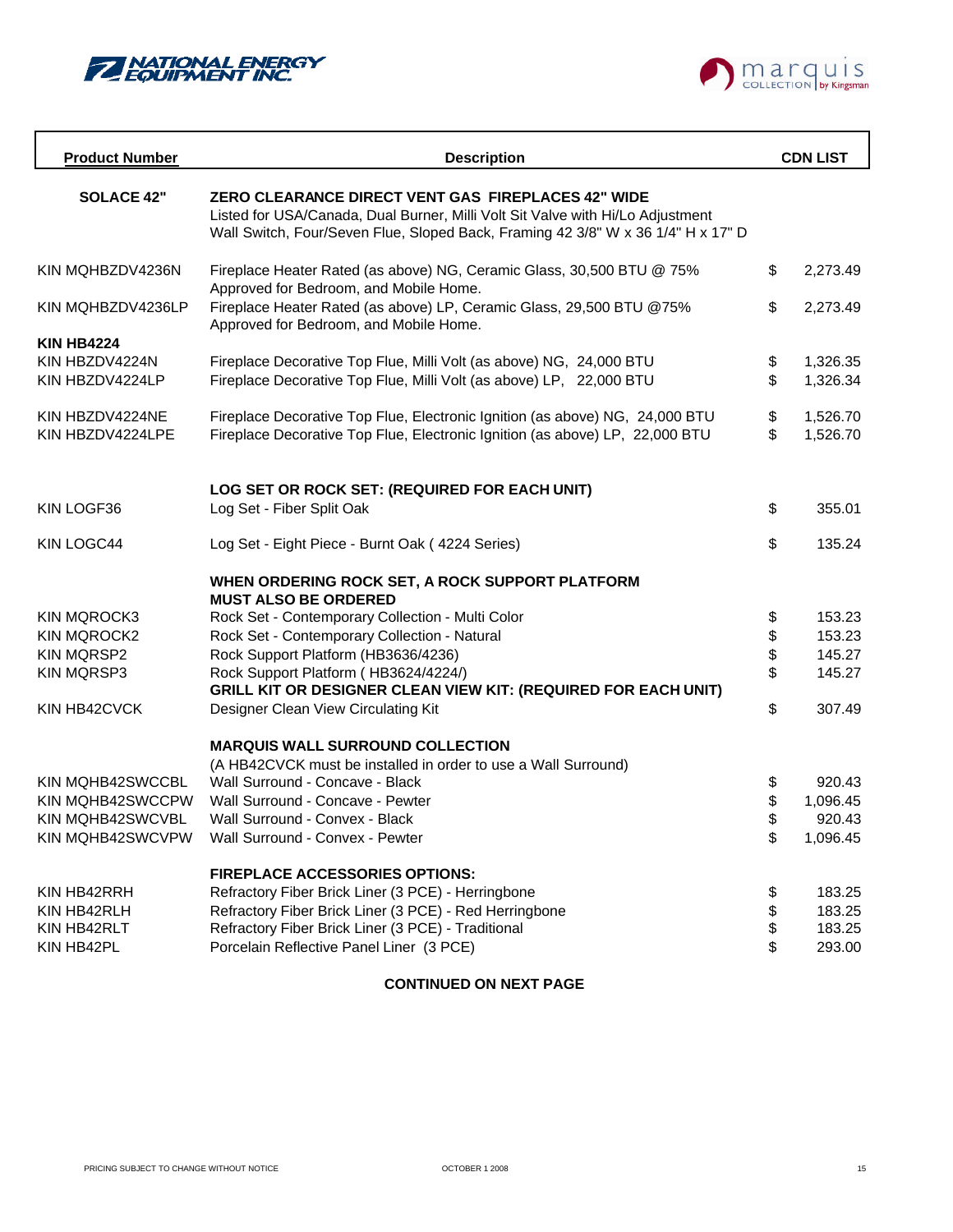



| <b>Product Number</b>               | <b>Description</b>                                                                                                                                                                                                              |          | <b>CDN LIST</b>      |
|-------------------------------------|---------------------------------------------------------------------------------------------------------------------------------------------------------------------------------------------------------------------------------|----------|----------------------|
| <b>SOLACE 42"</b>                   | <b>ZERO CLEARANCE DIRECT VENT GAS FIREPLACES 42" WIDE</b><br>Listed for USA/Canada, Dual Burner, Milli Volt Sit Valve with Hi/Lo Adjustment<br>Wall Switch, Four/Seven Flue, Sloped Back, Framing 42 3/8" W x 36 1/4" H x 17" D |          |                      |
| KIN MQHBZDV4236N                    | Fireplace Heater Rated (as above) NG, Ceramic Glass, 30,500 BTU @ 75%<br>Approved for Bedroom, and Mobile Home.                                                                                                                 | \$       | 2,273.49             |
| KIN MQHBZDV4236LP                   | Fireplace Heater Rated (as above) LP, Ceramic Glass, 29,500 BTU @75%<br>Approved for Bedroom, and Mobile Home.                                                                                                                  | \$       | 2,273.49             |
| <b>KIN HB4224</b>                   |                                                                                                                                                                                                                                 |          |                      |
| KIN HBZDV4224N<br>KIN HBZDV4224LP   | Fireplace Decorative Top Flue, Milli Volt (as above) NG, 24,000 BTU<br>Fireplace Decorative Top Flue, Milli Volt (as above) LP, 22,000 BTU                                                                                      | \$<br>\$ | 1,326.35<br>1,326.34 |
| KIN HBZDV4224NE<br>KIN HBZDV4224LPE | Fireplace Decorative Top Flue, Electronic Ignition (as above) NG, 24,000 BTU<br>Fireplace Decorative Top Flue, Electronic Ignition (as above) LP, 22,000 BTU                                                                    | \$<br>\$ | 1,526.70<br>1,526.70 |
|                                     | LOG SET OR ROCK SET: (REQUIRED FOR EACH UNIT)                                                                                                                                                                                   |          |                      |
| KIN LOGF36                          | Log Set - Fiber Split Oak                                                                                                                                                                                                       | \$       | 355.01               |
| KIN LOGC44                          | Log Set - Eight Piece - Burnt Oak (4224 Series)                                                                                                                                                                                 | \$       | 135.24               |
|                                     | WHEN ORDERING ROCK SET, A ROCK SUPPORT PLATFORM<br><b>MUST ALSO BE ORDERED</b>                                                                                                                                                  |          |                      |
| <b>KIN MQROCK3</b>                  | Rock Set - Contemporary Collection - Multi Color                                                                                                                                                                                | \$       | 153.23               |
| <b>KIN MQROCK2</b>                  | Rock Set - Contemporary Collection - Natural                                                                                                                                                                                    | \$       | 153.23               |
| <b>KIN MQRSP2</b>                   | Rock Support Platform (HB3636/4236)                                                                                                                                                                                             | \$       | 145.27               |
| <b>KIN MQRSP3</b>                   | Rock Support Platform (HB3624/4224/)<br><b>GRILL KIT OR DESIGNER CLEAN VIEW KIT: (REQUIRED FOR EACH UNIT)</b>                                                                                                                   | \$       | 145.27               |
| KIN HB42CVCK                        | Designer Clean View Circulating Kit                                                                                                                                                                                             | \$       | 307.49               |
|                                     | <b>MARQUIS WALL SURROUND COLLECTION</b><br>(A HB42CVCK must be installed in order to use a Wall Surround)                                                                                                                       |          |                      |
| <b>KIN MQHB42SWCCBL</b>             | Wall Surround - Concave - Black                                                                                                                                                                                                 | \$       | 920.43               |
| KIN MQHB42SWCCPW                    | Wall Surround - Concave - Pewter                                                                                                                                                                                                | \$       | 1,096.45             |
| KIN MOHB42SWCVBL                    | Wall Surround - Convex - Black                                                                                                                                                                                                  | \$       | 920.43               |
| KIN MQHB42SWCVPW                    | Wall Surround - Convex - Pewter                                                                                                                                                                                                 | \$       | 1,096.45             |
|                                     | <b>FIREPLACE ACCESSORIES OPTIONS:</b>                                                                                                                                                                                           |          |                      |
| KIN HB42RRH                         | Refractory Fiber Brick Liner (3 PCE) - Herringbone                                                                                                                                                                              | \$       | 183.25               |
| KIN HB42RLH                         | Refractory Fiber Brick Liner (3 PCE) - Red Herringbone                                                                                                                                                                          | \$       | 183.25               |
| KIN HB42RLT                         | Refractory Fiber Brick Liner (3 PCE) - Traditional                                                                                                                                                                              | \$       | 183.25               |
| KIN HB42PL                          | Porcelain Reflective Panel Liner (3 PCE)                                                                                                                                                                                        | \$       | 293.00               |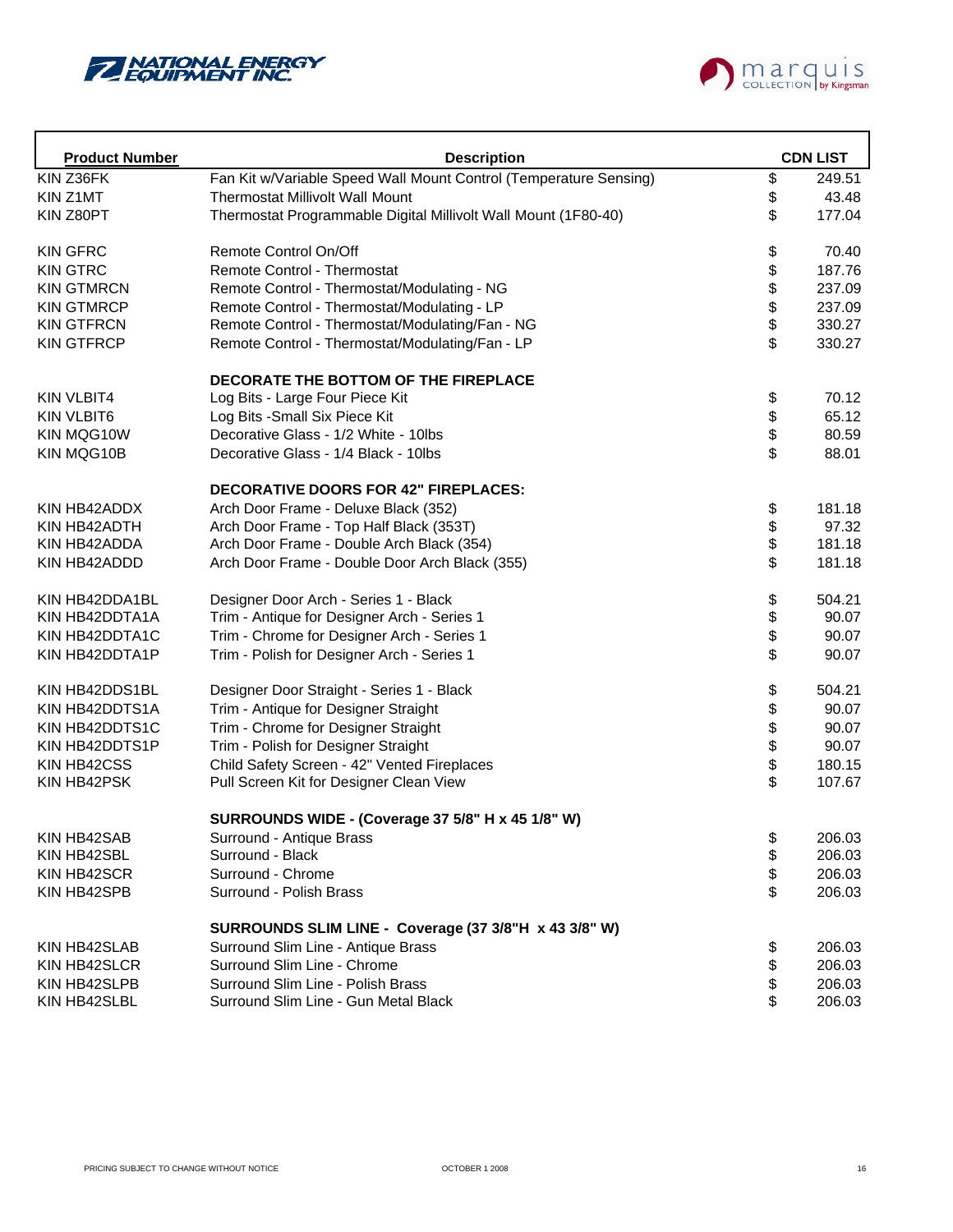



| <b>Product Number</b> | <b>Description</b>                                                |        | <b>CDN LIST</b> |
|-----------------------|-------------------------------------------------------------------|--------|-----------------|
| KIN Z36FK             | Fan Kit w/Variable Speed Wall Mount Control (Temperature Sensing) | \$     | 249.51          |
| KIN Z1MT              | <b>Thermostat Millivolt Wall Mount</b>                            | \$     | 43.48           |
| KIN Z80PT             | Thermostat Programmable Digital Millivolt Wall Mount (1F80-40)    | \$     | 177.04          |
| <b>KIN GFRC</b>       | Remote Control On/Off                                             | \$     | 70.40           |
| <b>KIN GTRC</b>       | Remote Control - Thermostat                                       |        | 187.76          |
| <b>KIN GTMRCN</b>     | Remote Control - Thermostat/Modulating - NG                       | \$\$\$ | 237.09          |
| <b>KIN GTMRCP</b>     | Remote Control - Thermostat/Modulating - LP                       |        | 237.09          |
| <b>KIN GTFRCN</b>     | Remote Control - Thermostat/Modulating/Fan - NG                   |        | 330.27          |
| <b>KIN GTFRCP</b>     | Remote Control - Thermostat/Modulating/Fan - LP                   | \$     | 330.27          |
|                       | DECORATE THE BOTTOM OF THE FIREPLACE                              |        |                 |
| <b>KIN VLBIT4</b>     | Log Bits - Large Four Piece Kit                                   | \$     | 70.12           |
| <b>KIN VLBIT6</b>     | Log Bits - Small Six Piece Kit                                    | \$     | 65.12           |
| KIN MQG10W            | Decorative Glass - 1/2 White - 10lbs                              | \$     | 80.59           |
| KIN MQG10B            | Decorative Glass - 1/4 Black - 10lbs                              | \$     | 88.01           |
|                       | <b>DECORATIVE DOORS FOR 42" FIREPLACES:</b>                       |        |                 |
| KIN HB42ADDX          | Arch Door Frame - Deluxe Black (352)                              | \$     | 181.18          |
| KIN HB42ADTH          | Arch Door Frame - Top Half Black (353T)                           | \$     | 97.32           |
| KIN HB42ADDA          | Arch Door Frame - Double Arch Black (354)                         |        | 181.18          |
| KIN HB42ADDD          | Arch Door Frame - Double Door Arch Black (355)                    | \$     | 181.18          |
| KIN HB42DDA1BL        | Designer Door Arch - Series 1 - Black                             | \$     | 504.21          |
| KIN HB42DDTA1A        | Trim - Antique for Designer Arch - Series 1                       | \$     | 90.07           |
| KIN HB42DDTA1C        | Trim - Chrome for Designer Arch - Series 1                        | \$     | 90.07           |
| KIN HB42DDTA1P        | Trim - Polish for Designer Arch - Series 1                        | \$     | 90.07           |
| KIN HB42DDS1BL        | Designer Door Straight - Series 1 - Black                         | \$     | 504.21          |
| KIN HB42DDTS1A        | Trim - Antique for Designer Straight                              |        | 90.07           |
| KIN HB42DDTS1C        | Trim - Chrome for Designer Straight                               | 88888  | 90.07           |
| KIN HB42DDTS1P        | Trim - Polish for Designer Straight                               |        | 90.07           |
| KIN HB42CSS           | Child Safety Screen - 42" Vented Fireplaces                       |        | 180.15          |
| KIN HB42PSK           | Pull Screen Kit for Designer Clean View                           |        | 107.67          |
|                       | SURROUNDS WIDE - (Coverage 37 5/8" H x 45 1/8" W)                 |        |                 |
| KIN HB42SAB           | Surround - Antique Brass                                          | \$     | 206.03          |
| KIN HB42SBL           | Surround - Black                                                  | \$     | 206.03          |
| KIN HB42SCR           | Surround - Chrome                                                 | \$     | 206.03          |
| KIN HB42SPB           | Surround - Polish Brass                                           | \$     | 206.03          |
|                       | SURROUNDS SLIM LINE - Coverage (37 3/8"H x 43 3/8" W)             |        |                 |
| KIN HB42SLAB          | Surround Slim Line - Antique Brass                                | \$     | 206.03          |
| KIN HB42SLCR          | Surround Slim Line - Chrome                                       | \$     | 206.03          |
| KIN HB42SLPB          | Surround Slim Line - Polish Brass                                 | \$     | 206.03          |
| KIN HB42SLBL          | Surround Slim Line - Gun Metal Black                              | \$     | 206.03          |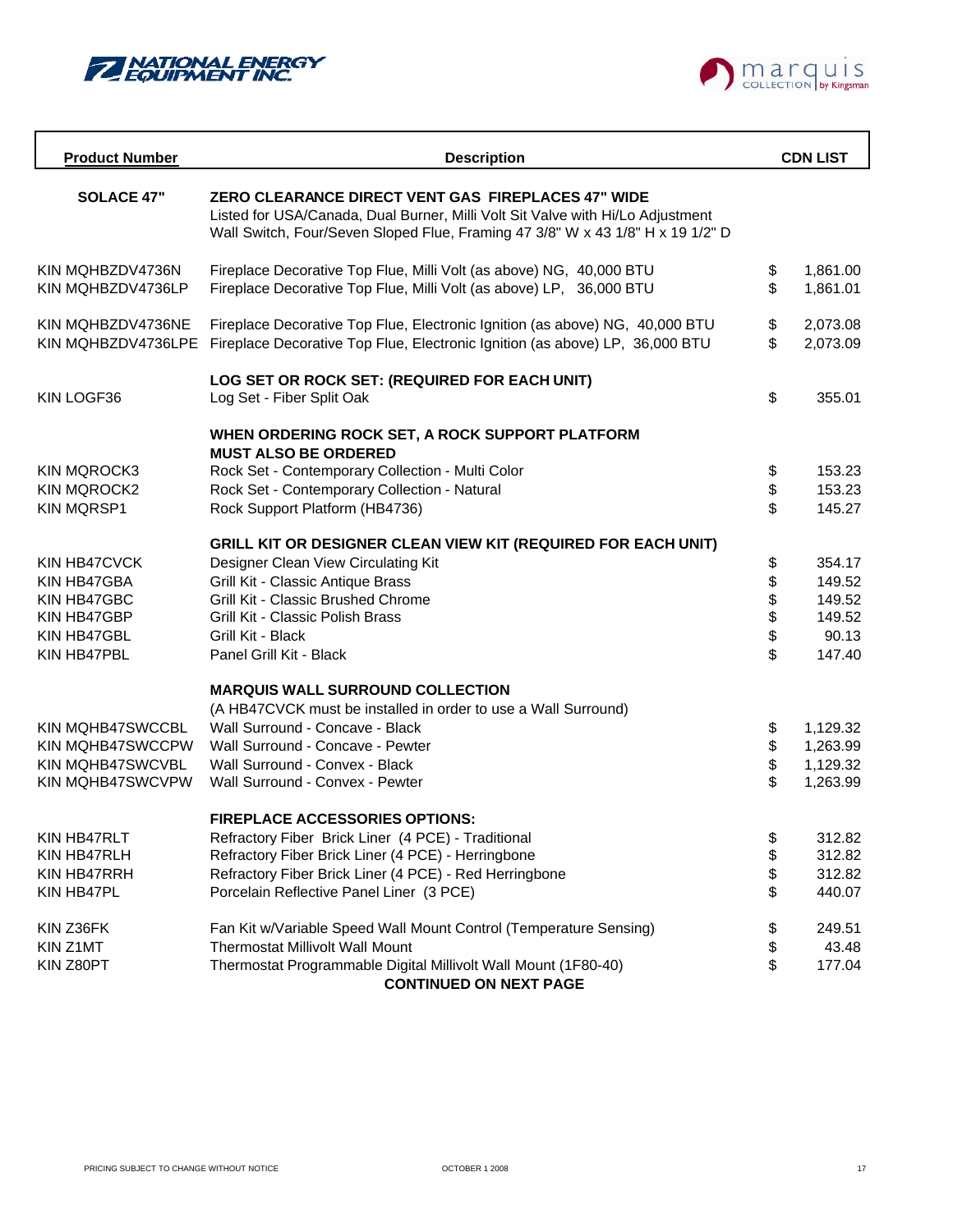



| <b>Product Number</b>                   | <b>Description</b>                                                                                                                                                                                                            |          | <b>CDN LIST</b>      |
|-----------------------------------------|-------------------------------------------------------------------------------------------------------------------------------------------------------------------------------------------------------------------------------|----------|----------------------|
| <b>SOLACE 47"</b>                       | <b>ZERO CLEARANCE DIRECT VENT GAS FIREPLACES 47" WIDE</b><br>Listed for USA/Canada, Dual Burner, Milli Volt Sit Valve with Hi/Lo Adjustment<br>Wall Switch, Four/Seven Sloped Flue, Framing 47 3/8" W x 43 1/8" H x 19 1/2" D |          |                      |
| KIN MQHBZDV4736N<br>KIN MOHBZDV4736LP   | Fireplace Decorative Top Flue, Milli Volt (as above) NG, 40,000 BTU<br>Fireplace Decorative Top Flue, Milli Volt (as above) LP, 36,000 BTU                                                                                    | \$<br>\$ | 1,861.00<br>1,861.01 |
| KIN MQHBZDV4736NE<br>KIN MOHBZDV4736LPE | Fireplace Decorative Top Flue, Electronic Ignition (as above) NG, 40,000 BTU<br>Fireplace Decorative Top Flue, Electronic Ignition (as above) LP, 36,000 BTU                                                                  | \$<br>\$ | 2,073.08<br>2,073.09 |
| KIN LOGF36                              | LOG SET OR ROCK SET: (REQUIRED FOR EACH UNIT)<br>Log Set - Fiber Split Oak                                                                                                                                                    | \$       | 355.01               |
|                                         | WHEN ORDERING ROCK SET, A ROCK SUPPORT PLATFORM<br><b>MUST ALSO BE ORDERED</b>                                                                                                                                                |          |                      |
| <b>KIN MQROCK3</b>                      | Rock Set - Contemporary Collection - Multi Color                                                                                                                                                                              | \$       | 153.23               |
| <b>KIN MQROCK2</b>                      | Rock Set - Contemporary Collection - Natural                                                                                                                                                                                  | \$       | 153.23               |
| <b>KIN MQRSP1</b>                       | Rock Support Platform (HB4736)                                                                                                                                                                                                | \$       | 145.27               |
|                                         | GRILL KIT OR DESIGNER CLEAN VIEW KIT (REQUIRED FOR EACH UNIT)                                                                                                                                                                 |          |                      |
| KIN HB47CVCK                            | Designer Clean View Circulating Kit                                                                                                                                                                                           | \$       | 354.17               |
| KIN HB47GBA                             | Grill Kit - Classic Antique Brass                                                                                                                                                                                             | \$       | 149.52               |
| KIN HB47GBC                             | Grill Kit - Classic Brushed Chrome                                                                                                                                                                                            | \$       | 149.52               |
| KIN HB47GBP                             | Grill Kit - Classic Polish Brass                                                                                                                                                                                              | \$       | 149.52               |
| KIN HB47GBL                             | Grill Kit - Black                                                                                                                                                                                                             | \$       | 90.13                |
| KIN HB47PBL                             | Panel Grill Kit - Black                                                                                                                                                                                                       | \$       | 147.40               |
|                                         | <b>MARQUIS WALL SURROUND COLLECTION</b>                                                                                                                                                                                       |          |                      |
|                                         | (A HB47CVCK must be installed in order to use a Wall Surround)                                                                                                                                                                |          |                      |
| <b>KIN MQHB47SWCCBL</b>                 | Wall Surround - Concave - Black                                                                                                                                                                                               | \$       | 1,129.32             |
| KIN MOHB47SWCCPW                        | Wall Surround - Concave - Pewter                                                                                                                                                                                              | \$       | 1,263.99             |
| <b>KIN MQHB47SWCVBL</b>                 | Wall Surround - Convex - Black                                                                                                                                                                                                | \$       | 1,129.32             |
| <b>KIN MQHB47SWCVPW</b>                 | Wall Surround - Convex - Pewter                                                                                                                                                                                               | \$       | 1,263.99             |
|                                         | <b>FIREPLACE ACCESSORIES OPTIONS:</b>                                                                                                                                                                                         |          |                      |
| KIN HB47RLT                             | Refractory Fiber Brick Liner (4 PCE) - Traditional                                                                                                                                                                            | \$       | 312.82               |
| KIN HB47RLH                             | Refractory Fiber Brick Liner (4 PCE) - Herringbone                                                                                                                                                                            | \$       | 312.82               |
| KIN HB47RRH                             | Refractory Fiber Brick Liner (4 PCE) - Red Herringbone                                                                                                                                                                        | \$       | 312.82               |
| KIN HB47PL                              | Porcelain Reflective Panel Liner (3 PCE)                                                                                                                                                                                      | \$       | 440.07               |
| KIN Z36FK                               | Fan Kit w/Variable Speed Wall Mount Control (Temperature Sensing)                                                                                                                                                             | \$       | 249.51               |
| KIN Z1MT                                | <b>Thermostat Millivolt Wall Mount</b>                                                                                                                                                                                        | \$       | 43.48                |
| KIN Z80PT                               | Thermostat Programmable Digital Millivolt Wall Mount (1F80-40)<br><b>CONTINUED ON NEXT PAGE</b>                                                                                                                               | \$       | 177.04               |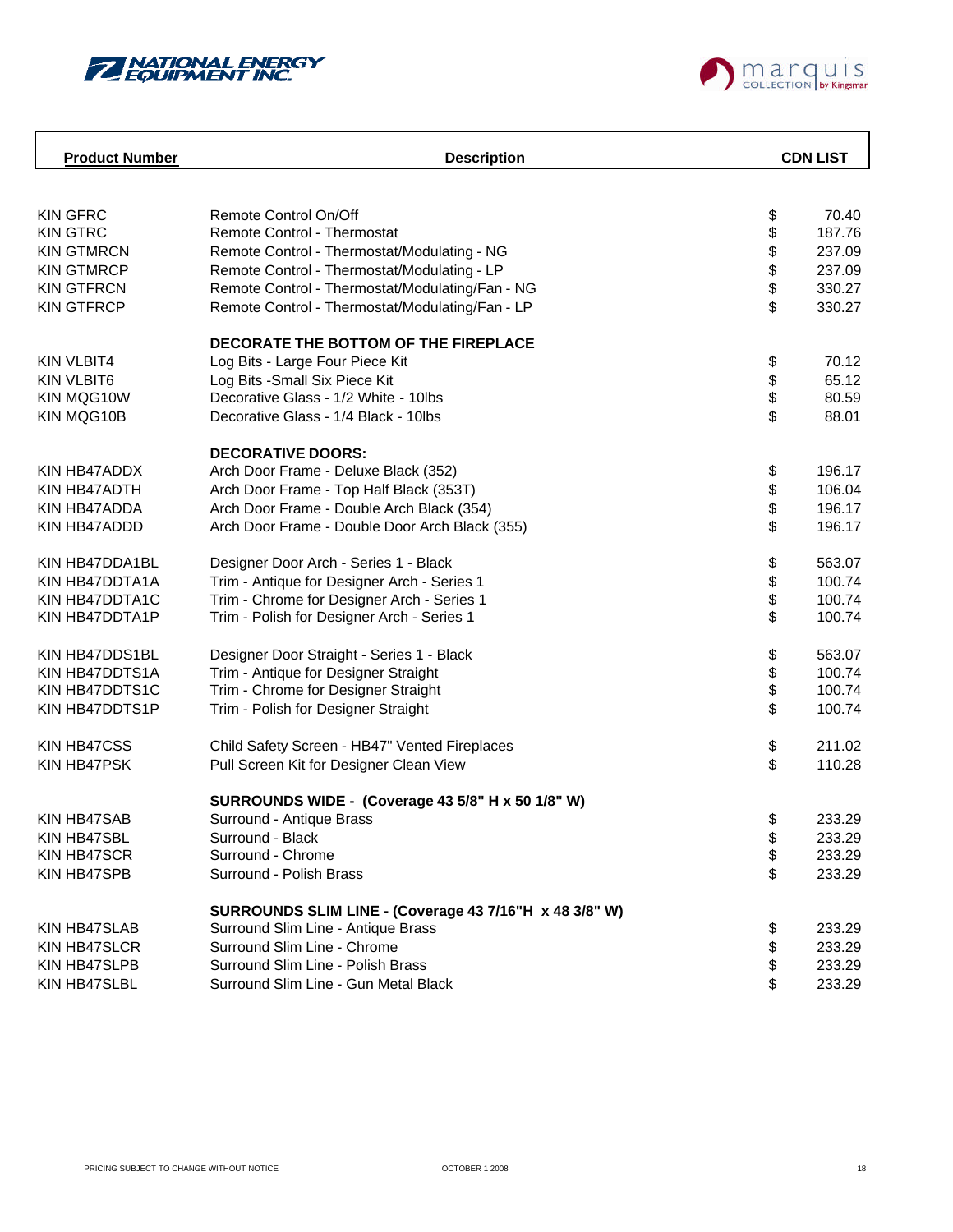



| <b>Product Number</b> | <b>Description</b>                                     |      | <b>CDN LIST</b> |
|-----------------------|--------------------------------------------------------|------|-----------------|
|                       |                                                        |      |                 |
|                       |                                                        |      |                 |
| <b>KIN GFRC</b>       | Remote Control On/Off                                  | \$   | 70.40           |
| <b>KIN GTRC</b>       | Remote Control - Thermostat                            | \$   | 187.76          |
| <b>KIN GTMRCN</b>     | Remote Control - Thermostat/Modulating - NG            | \$\$ | 237.09          |
| <b>KIN GTMRCP</b>     | Remote Control - Thermostat/Modulating - LP            |      | 237.09          |
| <b>KIN GTFRCN</b>     | Remote Control - Thermostat/Modulating/Fan - NG        |      | 330.27          |
| <b>KIN GTFRCP</b>     | Remote Control - Thermostat/Modulating/Fan - LP        | \$   | 330.27          |
|                       | DECORATE THE BOTTOM OF THE FIREPLACE                   |      |                 |
| <b>KIN VLBIT4</b>     | Log Bits - Large Four Piece Kit                        | \$   | 70.12           |
| <b>KIN VLBIT6</b>     | Log Bits - Small Six Piece Kit                         |      | 65.12           |
| KIN MQG10W            | Decorative Glass - 1/2 White - 10lbs                   | \$   | 80.59           |
| KIN MQG10B            | Decorative Glass - 1/4 Black - 10lbs                   | \$   | 88.01           |
|                       | <b>DECORATIVE DOORS:</b>                               |      |                 |
| KIN HB47ADDX          | Arch Door Frame - Deluxe Black (352)                   | \$   | 196.17          |
| KIN HB47ADTH          | Arch Door Frame - Top Half Black (353T)                | \$   | 106.04          |
| KIN HB47ADDA          | Arch Door Frame - Double Arch Black (354)              | \$   | 196.17          |
|                       | Arch Door Frame - Double Door Arch Black (355)         | \$   | 196.17          |
| KIN HB47ADDD          |                                                        |      |                 |
| KIN HB47DDA1BL        | Designer Door Arch - Series 1 - Black                  | \$   | 563.07          |
| KIN HB47DDTA1A        | Trim - Antique for Designer Arch - Series 1            | \$   | 100.74          |
| KIN HB47DDTA1C        | Trim - Chrome for Designer Arch - Series 1             | \$   | 100.74          |
| KIN HB47DDTA1P        | Trim - Polish for Designer Arch - Series 1             | \$   | 100.74          |
| KIN HB47DDS1BL        | Designer Door Straight - Series 1 - Black              | \$   | 563.07          |
| KIN HB47DDTS1A        | Trim - Antique for Designer Straight                   |      | 100.74          |
| KIN HB47DDTS1C        | Trim - Chrome for Designer Straight                    | \$   | 100.74          |
| KIN HB47DDTS1P        | Trim - Polish for Designer Straight                    | \$   | 100.74          |
| <b>KIN HB47CSS</b>    | Child Safety Screen - HB47" Vented Fireplaces          | \$   | 211.02          |
| KIN HB47PSK           | Pull Screen Kit for Designer Clean View                | \$   | 110.28          |
|                       |                                                        |      |                 |
|                       | SURROUNDS WIDE - (Coverage 43 5/8" H x 50 1/8" W)      |      |                 |
| <b>KIN HB47SAB</b>    | Surround - Antique Brass                               | \$   | 233.29          |
| KIN HB47SBL           | Surround - Black                                       | \$   | 233.29          |
| KIN HB47SCR           | Surround - Chrome                                      | \$   | 233.29          |
| KIN HB47SPB           | Surround - Polish Brass                                | \$   | 233.29          |
|                       | SURROUNDS SLIM LINE - (Coverage 43 7/16"H x 48 3/8" W) |      |                 |
| KIN HB47SLAB          | Surround Slim Line - Antique Brass                     | \$   | 233.29          |
| KIN HB47SLCR          | Surround Slim Line - Chrome                            | \$   | 233.29          |
| KIN HB47SLPB          | Surround Slim Line - Polish Brass                      | \$   | 233.29          |
| KIN HB47SLBL          | Surround Slim Line - Gun Metal Black                   | \$   | 233.29          |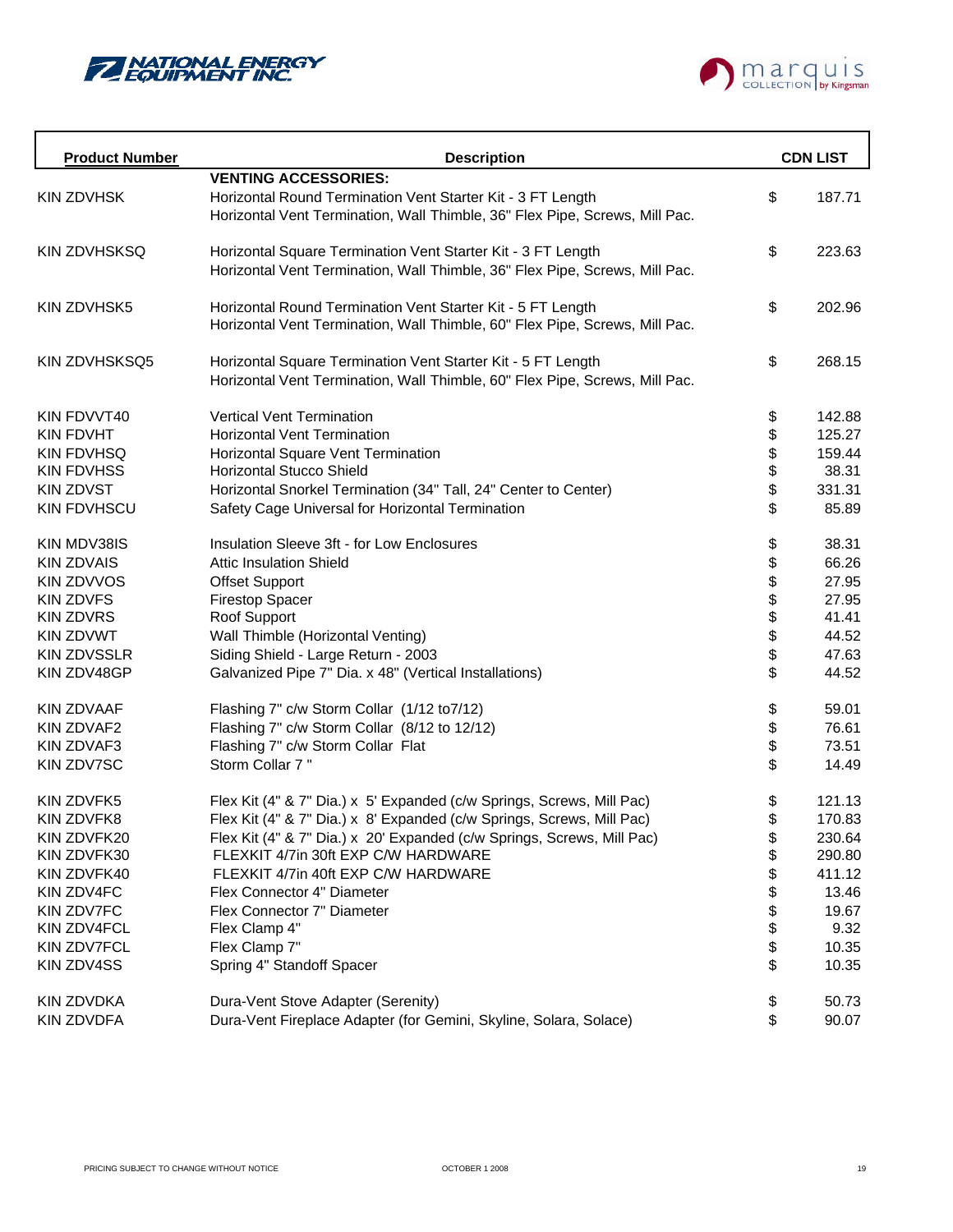



| <b>Product Number</b> | <b>Description</b>                                                          |          | <b>CDN LIST</b> |
|-----------------------|-----------------------------------------------------------------------------|----------|-----------------|
|                       | <b>VENTING ACCESSORIES:</b>                                                 |          |                 |
| <b>KIN ZDVHSK</b>     | Horizontal Round Termination Vent Starter Kit - 3 FT Length                 | \$       | 187.71          |
|                       | Horizontal Vent Termination, Wall Thimble, 36" Flex Pipe, Screws, Mill Pac. |          |                 |
|                       |                                                                             |          |                 |
| <b>KIN ZDVHSKSQ</b>   | Horizontal Square Termination Vent Starter Kit - 3 FT Length                | \$       | 223.63          |
|                       | Horizontal Vent Termination, Wall Thimble, 36" Flex Pipe, Screws, Mill Pac. |          |                 |
| KIN ZDVHSK5           | Horizontal Round Termination Vent Starter Kit - 5 FT Length                 | \$       | 202.96          |
|                       | Horizontal Vent Termination, Wall Thimble, 60" Flex Pipe, Screws, Mill Pac. |          |                 |
| KIN ZDVHSKSQ5         | Horizontal Square Termination Vent Starter Kit - 5 FT Length                | \$       | 268.15          |
|                       | Horizontal Vent Termination, Wall Thimble, 60" Flex Pipe, Screws, Mill Pac. |          |                 |
| KIN FDVVT40           | <b>Vertical Vent Termination</b>                                            | \$       | 142.88          |
| <b>KIN FDVHT</b>      | <b>Horizontal Vent Termination</b>                                          |          | 125.27          |
| <b>KIN FDVHSQ</b>     | Horizontal Square Vent Termination                                          |          | 159.44          |
| <b>KIN FDVHSS</b>     | <b>Horizontal Stucco Shield</b>                                             |          | 38.31           |
| <b>KIN ZDVST</b>      | Horizontal Snorkel Termination (34" Tall, 24" Center to Center)             | \$\$\$\$ | 331.31          |
| <b>KIN FDVHSCU</b>    | Safety Cage Universal for Horizontal Termination                            | \$       | 85.89           |
| KIN MDV38IS           | Insulation Sleeve 3ft - for Low Enclosures                                  | \$       | 38.31           |
| <b>KIN ZDVAIS</b>     | <b>Attic Insulation Shield</b>                                              | \$       | 66.26           |
| <b>KIN ZDVVOS</b>     | <b>Offset Support</b>                                                       | \$       | 27.95           |
| <b>KIN ZDVFS</b>      | <b>Firestop Spacer</b>                                                      |          | 27.95           |
| <b>KIN ZDVRS</b>      | Roof Support                                                                | \$\$\$   | 41.41           |
| <b>KIN ZDVWT</b>      | Wall Thimble (Horizontal Venting)                                           |          | 44.52           |
| <b>KIN ZDVSSLR</b>    | Siding Shield - Large Return - 2003                                         |          | 47.63           |
| KIN ZDV48GP           | Galvanized Pipe 7" Dia. x 48" (Vertical Installations)                      | \$       | 44.52           |
| <b>KIN ZDVAAF</b>     | Flashing 7" c/w Storm Collar (1/12 to7/12)                                  | \$       | 59.01           |
| KIN ZDVAF2            | Flashing 7" c/w Storm Collar (8/12 to 12/12)                                | \$       | 76.61           |
| <b>KIN ZDVAF3</b>     | Flashing 7" c/w Storm Collar Flat                                           | \$       | 73.51           |
| KIN ZDV7SC            | Storm Collar 7"                                                             | \$       | 14.49           |
| <b>KIN ZDVFK5</b>     | Flex Kit (4" & 7" Dia.) x 5' Expanded (c/w Springs, Screws, Mill Pac)       | \$       | 121.13          |
| <b>KIN ZDVFK8</b>     | Flex Kit (4" & 7" Dia.) x 8' Expanded (c/w Springs, Screws, Mill Pac)       | \$       | 170.83          |
| KIN ZDVFK20           | Flex Kit (4" & 7" Dia.) x 20' Expanded (c/w Springs, Screws, Mill Pac)      | \$       | 230.64          |
| KIN ZDVFK30           | FLEXKIT 4/7in 30ft EXP C/W HARDWARE                                         | \$       | 290.80          |
| KIN ZDVFK40           | FLEXKIT 4/7in 40ft EXP C/W HARDWARE                                         | \$       | 411.12          |
| KIN ZDV4FC            | Flex Connector 4" Diameter                                                  |          | 13.46           |
| <b>KIN ZDV7FC</b>     | Flex Connector 7" Diameter                                                  |          | 19.67           |
| KIN ZDV4FCL           | Flex Clamp 4"                                                               |          | 9.32            |
| KIN ZDV7FCL           | Flex Clamp 7"                                                               | \$\$\$\$ | 10.35           |
| KIN ZDV4SS            | Spring 4" Standoff Spacer                                                   | \$       | 10.35           |
| KIN ZDVDKA            | Dura-Vent Stove Adapter (Serenity)                                          | \$       | 50.73           |
| <b>KIN ZDVDFA</b>     | Dura-Vent Fireplace Adapter (for Gemini, Skyline, Solara, Solace)           | \$       | 90.07           |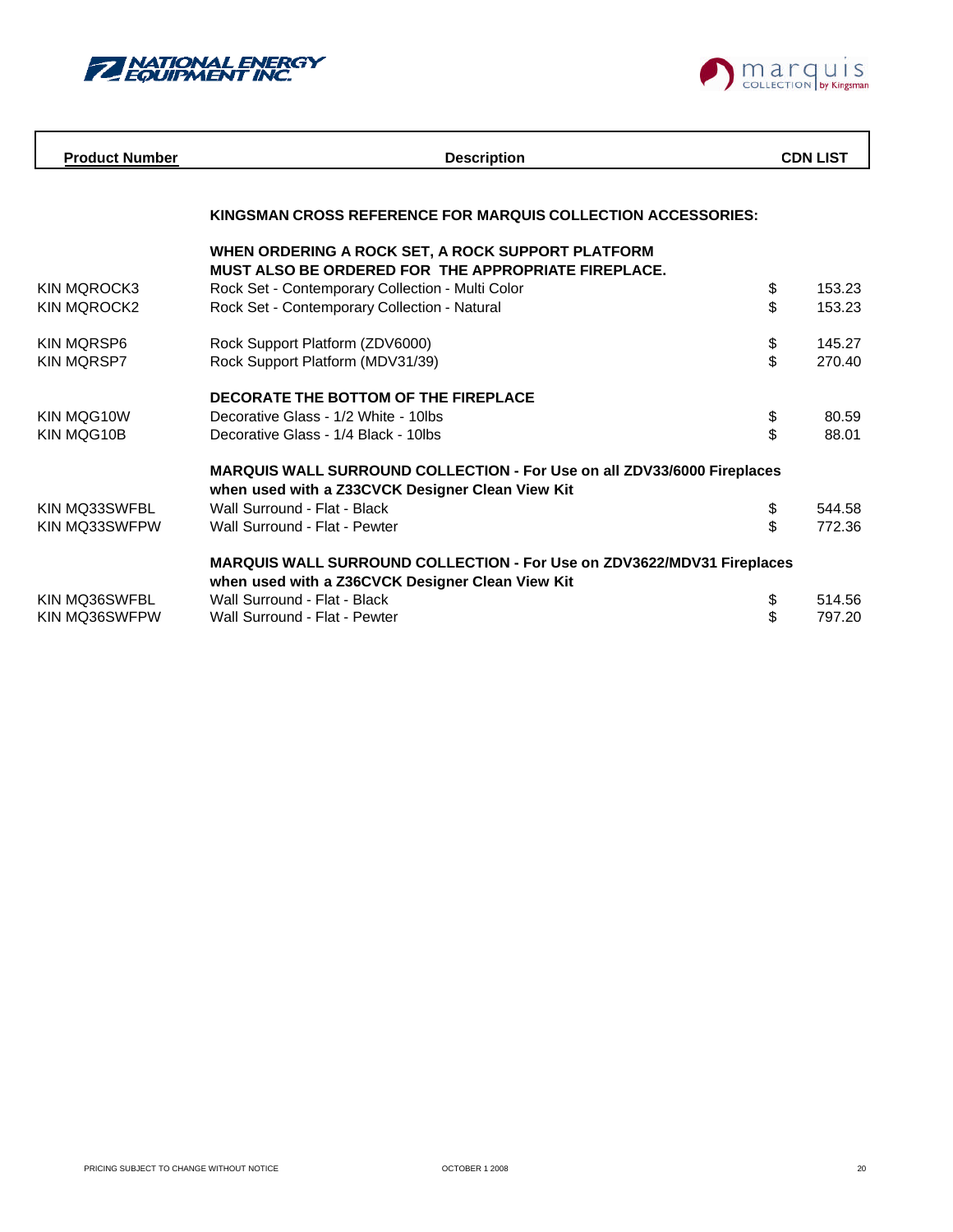



| <b>Product Number</b> | <b>Description</b>                                                             |    | <b>CDN LIST</b> |
|-----------------------|--------------------------------------------------------------------------------|----|-----------------|
|                       |                                                                                |    |                 |
|                       | KINGSMAN CROSS REFERENCE FOR MARQUIS COLLECTION ACCESSORIES:                   |    |                 |
|                       | WHEN ORDERING A ROCK SET, A ROCK SUPPORT PLATFORM                              |    |                 |
|                       | <b>MUST ALSO BE ORDERED FOR THE APPROPRIATE FIREPLACE.</b>                     |    |                 |
| <b>KIN MQROCK3</b>    | Rock Set - Contemporary Collection - Multi Color                               | \$ | 153.23          |
| <b>KIN MOROCK2</b>    | Rock Set - Contemporary Collection - Natural                                   | \$ | 153.23          |
| <b>KIN MORSP6</b>     | Rock Support Platform (ZDV6000)                                                | \$ | 145.27          |
| <b>KIN MQRSP7</b>     | Rock Support Platform (MDV31/39)                                               | \$ | 270.40          |
|                       |                                                                                |    |                 |
|                       | DECORATE THE BOTTOM OF THE FIREPLACE                                           |    |                 |
| KIN MOG10W            | Decorative Glass - 1/2 White - 10lbs                                           | \$ | 80.59           |
| KIN MQG10B            | Decorative Glass - 1/4 Black - 10lbs                                           | \$ | 88.01           |
|                       |                                                                                |    |                 |
|                       | <b>MARQUIS WALL SURROUND COLLECTION - For Use on all ZDV33/6000 Fireplaces</b> |    |                 |
|                       | when used with a Z33CVCK Designer Clean View Kit                               |    |                 |
| KIN MO33SWFBL         | Wall Surround - Flat - Black                                                   | \$ | 544.58          |
| KIN MQ33SWFPW         | Wall Surround - Flat - Pewter                                                  | \$ | 772.36          |
|                       |                                                                                |    |                 |
|                       | MARQUIS WALL SURROUND COLLECTION - For Use on ZDV3622/MDV31 Fireplaces         |    |                 |
|                       | when used with a Z36CVCK Designer Clean View Kit                               |    |                 |
| KIN MQ36SWFBL         | Wall Surround - Flat - Black                                                   | \$ | 514.56          |
| KIN MO36SWFPW         | Wall Surround - Flat - Pewter                                                  | \$ | 797.20          |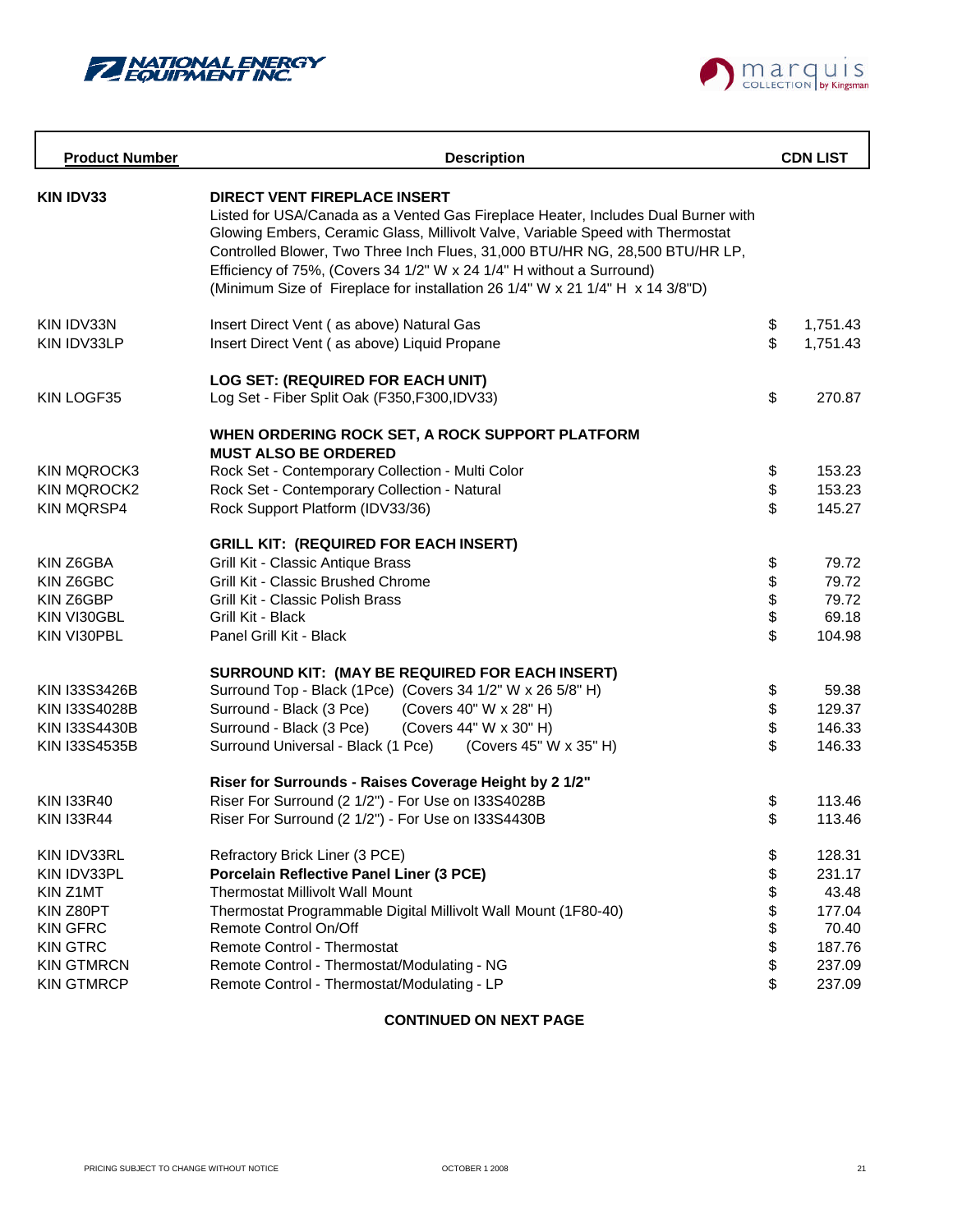



| <b>Product Number</b> | <b>Description</b>                                                                                                                                                                                                                                                                                                                                                                                                                                  | <b>CDN LIST</b> |
|-----------------------|-----------------------------------------------------------------------------------------------------------------------------------------------------------------------------------------------------------------------------------------------------------------------------------------------------------------------------------------------------------------------------------------------------------------------------------------------------|-----------------|
| <b>KIN IDV33</b>      | <b>DIRECT VENT FIREPLACE INSERT</b><br>Listed for USA/Canada as a Vented Gas Fireplace Heater, Includes Dual Burner with<br>Glowing Embers, Ceramic Glass, Millivolt Valve, Variable Speed with Thermostat<br>Controlled Blower, Two Three Inch Flues, 31,000 BTU/HR NG, 28,500 BTU/HR LP,<br>Efficiency of 75%, (Covers 34 1/2" W x 24 1/4" H without a Surround)<br>(Minimum Size of Fireplace for installation 26 1/4" W x 21 1/4" H x 14 3/8"D) |                 |
| KIN IDV33N            | Insert Direct Vent (as above) Natural Gas                                                                                                                                                                                                                                                                                                                                                                                                           | \$<br>1,751.43  |
| KIN IDV33LP           | Insert Direct Vent (as above) Liquid Propane                                                                                                                                                                                                                                                                                                                                                                                                        | \$<br>1,751.43  |
|                       | LOG SET: (REQUIRED FOR EACH UNIT)                                                                                                                                                                                                                                                                                                                                                                                                                   |                 |
| KIN LOGF35            | Log Set - Fiber Split Oak (F350, F300, IDV33)                                                                                                                                                                                                                                                                                                                                                                                                       | \$<br>270.87    |
|                       | WHEN ORDERING ROCK SET, A ROCK SUPPORT PLATFORM<br><b>MUST ALSO BE ORDERED</b>                                                                                                                                                                                                                                                                                                                                                                      |                 |
| <b>KIN MQROCK3</b>    | Rock Set - Contemporary Collection - Multi Color                                                                                                                                                                                                                                                                                                                                                                                                    | \$<br>153.23    |
| <b>KIN MQROCK2</b>    | Rock Set - Contemporary Collection - Natural                                                                                                                                                                                                                                                                                                                                                                                                        | \$<br>153.23    |
| <b>KIN MQRSP4</b>     | Rock Support Platform (IDV33/36)                                                                                                                                                                                                                                                                                                                                                                                                                    | \$<br>145.27    |
|                       | <b>GRILL KIT: (REQUIRED FOR EACH INSERT)</b>                                                                                                                                                                                                                                                                                                                                                                                                        |                 |
| KIN Z6GBA             | Grill Kit - Classic Antique Brass                                                                                                                                                                                                                                                                                                                                                                                                                   | \$<br>79.72     |
| KIN Z6GBC             | Grill Kit - Classic Brushed Chrome                                                                                                                                                                                                                                                                                                                                                                                                                  | \$<br>79.72     |
| KIN Z6GBP             | Grill Kit - Classic Polish Brass                                                                                                                                                                                                                                                                                                                                                                                                                    | 79.72           |
| KIN VI30GBL           | Grill Kit - Black                                                                                                                                                                                                                                                                                                                                                                                                                                   | \$<br>69.18     |
| KIN VI30PBL           | Panel Grill Kit - Black                                                                                                                                                                                                                                                                                                                                                                                                                             | \$<br>104.98    |
|                       | SURROUND KIT: (MAY BE REQUIRED FOR EACH INSERT)                                                                                                                                                                                                                                                                                                                                                                                                     |                 |
| KIN 133S3426B         | Surround Top - Black (1Pce) (Covers 34 1/2" W x 26 5/8" H)                                                                                                                                                                                                                                                                                                                                                                                          | \$<br>59.38     |
| KIN 133S4028B         | Surround - Black (3 Pce)<br>(Covers 40" W x 28" H)                                                                                                                                                                                                                                                                                                                                                                                                  | \$<br>129.37    |
| <b>KIN I33S4430B</b>  | Surround - Black (3 Pce)<br>(Covers 44" W x 30" H)                                                                                                                                                                                                                                                                                                                                                                                                  | \$<br>146.33    |
| KIN 133S4535B         | Surround Universal - Black (1 Pce)<br>(Covers 45" W x 35" H)                                                                                                                                                                                                                                                                                                                                                                                        | \$<br>146.33    |
|                       | Riser for Surrounds - Raises Coverage Height by 2 1/2"                                                                                                                                                                                                                                                                                                                                                                                              |                 |
| <b>KIN I33R40</b>     | Riser For Surround (2 1/2") - For Use on I33S4028B                                                                                                                                                                                                                                                                                                                                                                                                  | \$<br>113.46    |
| <b>KIN I33R44</b>     | Riser For Surround (2 1/2") - For Use on I33S4430B                                                                                                                                                                                                                                                                                                                                                                                                  | \$<br>113.46    |
| KIN IDV33RL           | Refractory Brick Liner (3 PCE)                                                                                                                                                                                                                                                                                                                                                                                                                      | \$<br>128.31    |
| KIN IDV33PL           | Porcelain Reflective Panel Liner (3 PCE)                                                                                                                                                                                                                                                                                                                                                                                                            | \$<br>231.17    |
| KIN Z1MT              | <b>Thermostat Millivolt Wall Mount</b>                                                                                                                                                                                                                                                                                                                                                                                                              | \$<br>43.48     |
| KIN Z80PT             | Thermostat Programmable Digital Millivolt Wall Mount (1F80-40)                                                                                                                                                                                                                                                                                                                                                                                      | \$<br>177.04    |
| <b>KIN GFRC</b>       | Remote Control On/Off                                                                                                                                                                                                                                                                                                                                                                                                                               | \$<br>70.40     |
| <b>KIN GTRC</b>       | Remote Control - Thermostat                                                                                                                                                                                                                                                                                                                                                                                                                         | \$<br>187.76    |
| <b>KIN GTMRCN</b>     | Remote Control - Thermostat/Modulating - NG                                                                                                                                                                                                                                                                                                                                                                                                         | \$<br>237.09    |
| <b>KIN GTMRCP</b>     | Remote Control - Thermostat/Modulating - LP                                                                                                                                                                                                                                                                                                                                                                                                         | \$<br>237.09    |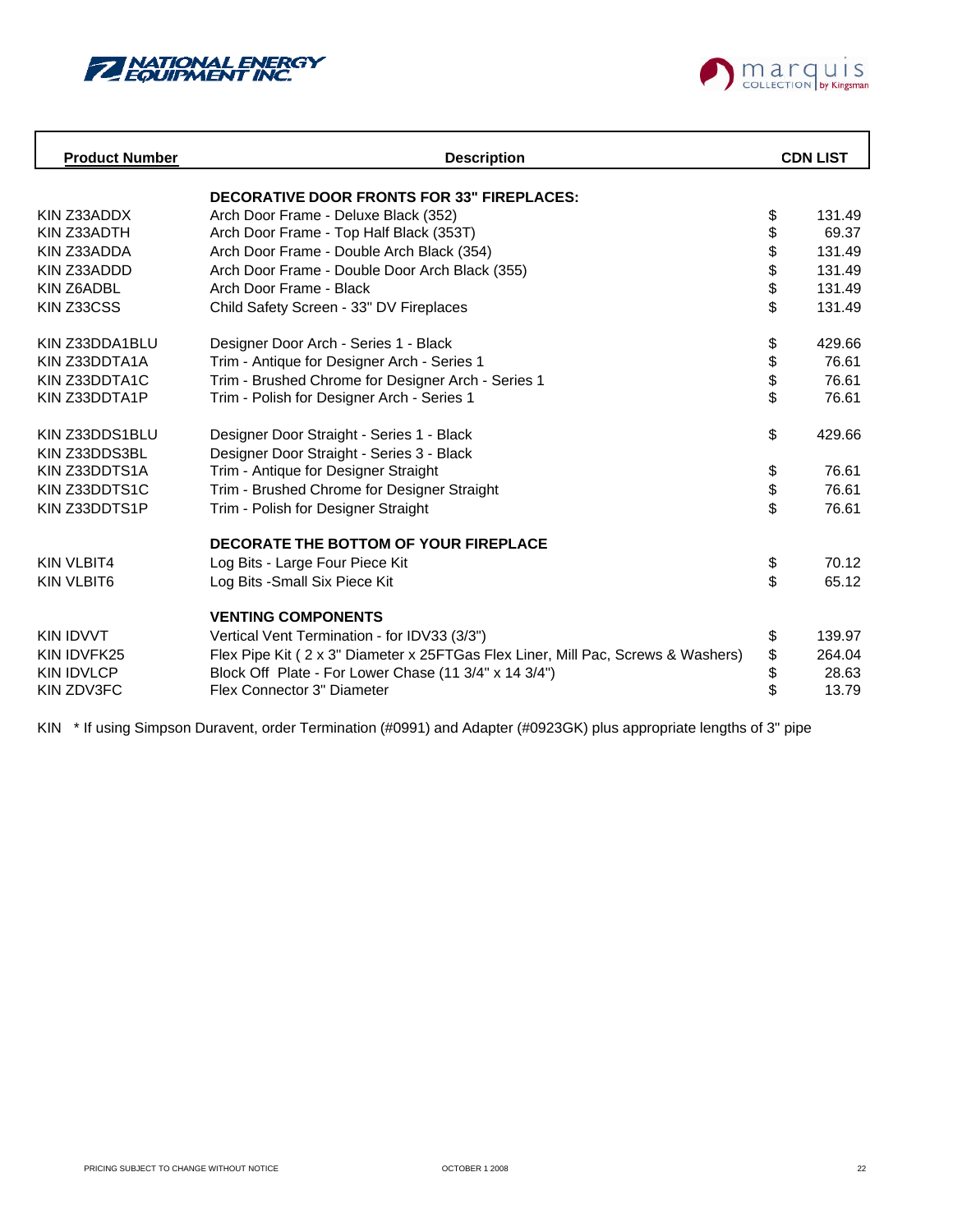



| <b>Product Number</b> | <b>Description</b>                                                               |    |        |  | <b>CDN LIST</b> |
|-----------------------|----------------------------------------------------------------------------------|----|--------|--|-----------------|
|                       | <b>DECORATIVE DOOR FRONTS FOR 33" FIREPLACES:</b>                                |    |        |  |                 |
| KIN Z33ADDX           | Arch Door Frame - Deluxe Black (352)                                             | \$ | 131.49 |  |                 |
| KIN Z33ADTH           | Arch Door Frame - Top Half Black (353T)                                          | \$ | 69.37  |  |                 |
| KIN Z33ADDA           | Arch Door Frame - Double Arch Black (354)                                        | \$ | 131.49 |  |                 |
| KIN Z33ADDD           | Arch Door Frame - Double Door Arch Black (355)                                   | \$ | 131.49 |  |                 |
| KIN Z6ADBL            | Arch Door Frame - Black                                                          | \$ | 131.49 |  |                 |
| KIN Z33CSS            | Child Safety Screen - 33" DV Fireplaces                                          | \$ | 131.49 |  |                 |
|                       |                                                                                  |    |        |  |                 |
| KIN Z33DDA1BLU        | Designer Door Arch - Series 1 - Black                                            | \$ | 429.66 |  |                 |
| KIN Z33DDTA1A         | Trim - Antique for Designer Arch - Series 1                                      | \$ | 76.61  |  |                 |
| KIN Z33DDTA1C         | Trim - Brushed Chrome for Designer Arch - Series 1                               | \$ | 76.61  |  |                 |
| KIN Z33DDTA1P         | Trim - Polish for Designer Arch - Series 1                                       | \$ | 76.61  |  |                 |
|                       |                                                                                  |    |        |  |                 |
| KIN Z33DDS1BLU        | Designer Door Straight - Series 1 - Black                                        | \$ | 429.66 |  |                 |
| KIN Z33DDS3BL         | Designer Door Straight - Series 3 - Black                                        |    |        |  |                 |
| KIN Z33DDTS1A         | Trim - Antique for Designer Straight                                             | \$ | 76.61  |  |                 |
| KIN Z33DDTS1C         | Trim - Brushed Chrome for Designer Straight                                      | \$ | 76.61  |  |                 |
| KIN Z33DDTS1P         | Trim - Polish for Designer Straight                                              | \$ | 76.61  |  |                 |
|                       |                                                                                  |    |        |  |                 |
|                       | DECORATE THE BOTTOM OF YOUR FIREPLACE                                            |    |        |  |                 |
| KIN VLBIT4            | Log Bits - Large Four Piece Kit                                                  | \$ | 70.12  |  |                 |
| KIN VLBIT6            | Log Bits - Small Six Piece Kit                                                   | \$ | 65.12  |  |                 |
|                       |                                                                                  |    |        |  |                 |
|                       | <b>VENTING COMPONENTS</b>                                                        |    |        |  |                 |
| KIN IDVVT             | Vertical Vent Termination - for IDV33 (3/3")                                     | \$ | 139.97 |  |                 |
| KIN IDVFK25           | Flex Pipe Kit (2 x 3" Diameter x 25FTGas Flex Liner, Mill Pac, Screws & Washers) | \$ | 264.04 |  |                 |
| <b>KIN IDVLCP</b>     | Block Off Plate - For Lower Chase (11 3/4" x 14 3/4")                            | \$ | 28.63  |  |                 |
| KIN ZDV3FC            | Flex Connector 3" Diameter                                                       | \$ | 13.79  |  |                 |
|                       |                                                                                  |    |        |  |                 |

KIN \* If using Simpson Duravent, order Termination (#0991) and Adapter (#0923GK) plus appropriate lengths of 3" pipe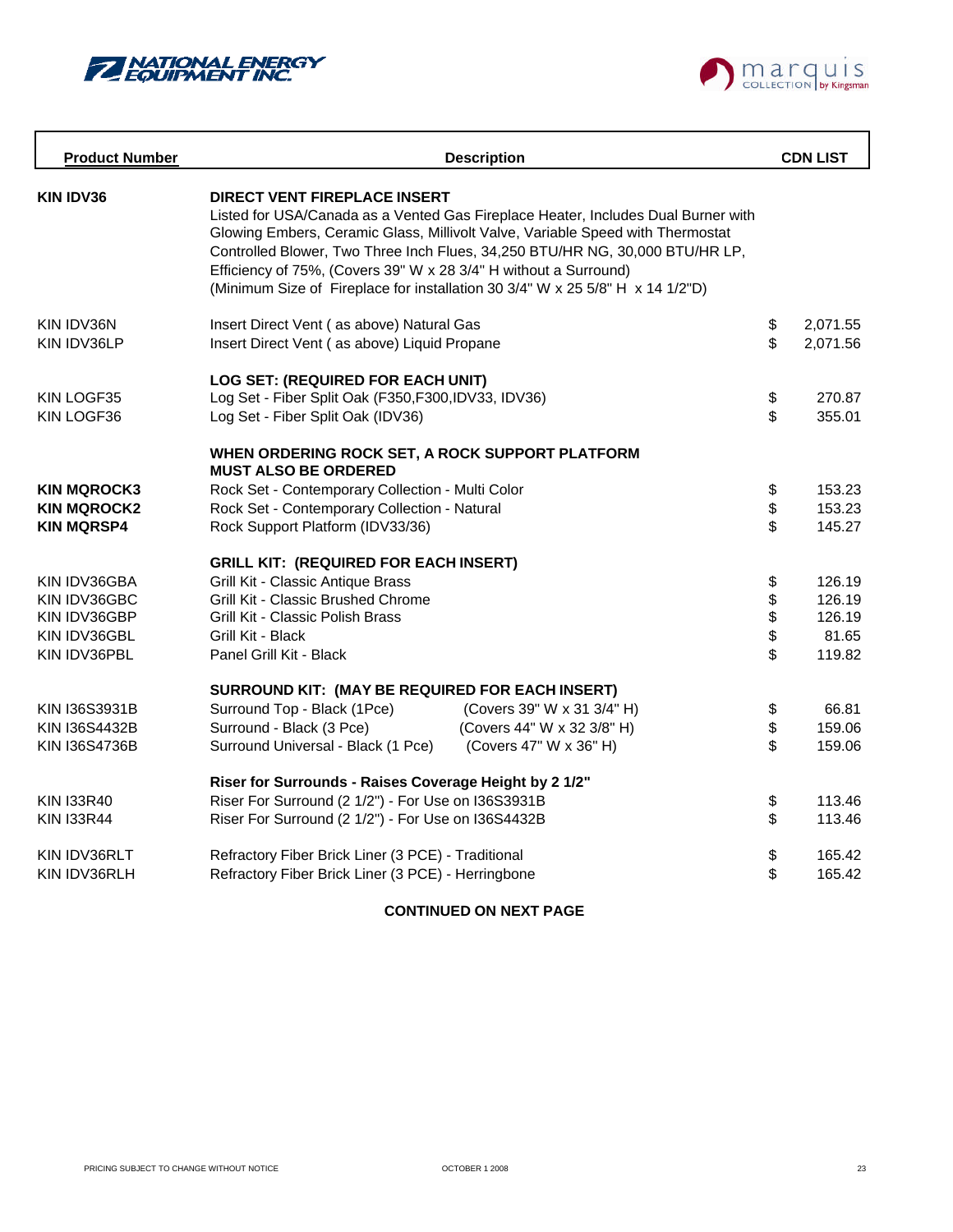



| <b>Product Number</b> |                                                                                                         | <b>Description</b>                                                                                                                                                                                                                                                                                                                   |                                           | <b>CDN LIST</b> |
|-----------------------|---------------------------------------------------------------------------------------------------------|--------------------------------------------------------------------------------------------------------------------------------------------------------------------------------------------------------------------------------------------------------------------------------------------------------------------------------------|-------------------------------------------|-----------------|
| <b>KIN IDV36</b>      | <b>DIRECT VENT FIREPLACE INSERT</b><br>Efficiency of 75%, (Covers 39" W x 28 3/4" H without a Surround) | Listed for USA/Canada as a Vented Gas Fireplace Heater, Includes Dual Burner with<br>Glowing Embers, Ceramic Glass, Millivolt Valve, Variable Speed with Thermostat<br>Controlled Blower, Two Three Inch Flues, 34,250 BTU/HR NG, 30,000 BTU/HR LP,<br>(Minimum Size of Fireplace for installation 30 3/4" W x 25 5/8" H x 14 1/2"D) |                                           |                 |
| KIN IDV36N            | Insert Direct Vent (as above) Natural Gas                                                               |                                                                                                                                                                                                                                                                                                                                      | $\, \, \raisebox{12pt}{$\scriptstyle \$}$ | 2,071.55        |
| KIN IDV36LP           | Insert Direct Vent (as above) Liquid Propane                                                            |                                                                                                                                                                                                                                                                                                                                      | \$                                        | 2,071.56        |
|                       | LOG SET: (REQUIRED FOR EACH UNIT)                                                                       |                                                                                                                                                                                                                                                                                                                                      |                                           |                 |
| KIN LOGF35            | Log Set - Fiber Split Oak (F350, F300, IDV33, IDV36)                                                    |                                                                                                                                                                                                                                                                                                                                      | \$                                        | 270.87          |
| KIN LOGF36            | Log Set - Fiber Split Oak (IDV36)                                                                       |                                                                                                                                                                                                                                                                                                                                      | \$                                        | 355.01          |
|                       | WHEN ORDERING ROCK SET, A ROCK SUPPORT PLATFORM<br><b>MUST ALSO BE ORDERED</b>                          |                                                                                                                                                                                                                                                                                                                                      |                                           |                 |
| <b>KIN MQROCK3</b>    | Rock Set - Contemporary Collection - Multi Color                                                        |                                                                                                                                                                                                                                                                                                                                      | \$                                        | 153.23          |
| <b>KIN MQROCK2</b>    | Rock Set - Contemporary Collection - Natural                                                            |                                                                                                                                                                                                                                                                                                                                      | \$                                        | 153.23          |
| <b>KIN MQRSP4</b>     | Rock Support Platform (IDV33/36)                                                                        |                                                                                                                                                                                                                                                                                                                                      | \$                                        | 145.27          |
|                       | <b>GRILL KIT: (REQUIRED FOR EACH INSERT)</b>                                                            |                                                                                                                                                                                                                                                                                                                                      |                                           |                 |
| KIN IDV36GBA          | Grill Kit - Classic Antique Brass                                                                       |                                                                                                                                                                                                                                                                                                                                      | \$                                        | 126.19          |
| KIN IDV36GBC          | Grill Kit - Classic Brushed Chrome                                                                      |                                                                                                                                                                                                                                                                                                                                      | \$                                        | 126.19          |
| KIN IDV36GBP          | Grill Kit - Classic Polish Brass                                                                        |                                                                                                                                                                                                                                                                                                                                      | \$                                        | 126.19          |
| KIN IDV36GBL          | Grill Kit - Black                                                                                       |                                                                                                                                                                                                                                                                                                                                      | \$                                        | 81.65           |
| KIN IDV36PBL          | Panel Grill Kit - Black                                                                                 |                                                                                                                                                                                                                                                                                                                                      | \$                                        | 119.82          |
|                       | SURROUND KIT: (MAY BE REQUIRED FOR EACH INSERT)                                                         |                                                                                                                                                                                                                                                                                                                                      |                                           |                 |
| KIN 136S3931B         | Surround Top - Black (1Pce)                                                                             | (Covers 39" W x 31 3/4" H)                                                                                                                                                                                                                                                                                                           | \$                                        | 66.81           |
| <b>KIN I36S4432B</b>  | Surround - Black (3 Pce)                                                                                | (Covers 44" W x 32 3/8" H)                                                                                                                                                                                                                                                                                                           | \$                                        | 159.06          |
| <b>KIN I36S4736B</b>  | Surround Universal - Black (1 Pce)                                                                      | (Covers 47" W x 36" H)                                                                                                                                                                                                                                                                                                               | \$                                        | 159.06          |
|                       | Riser for Surrounds - Raises Coverage Height by 2 1/2"                                                  |                                                                                                                                                                                                                                                                                                                                      |                                           |                 |
| <b>KIN I33R40</b>     | Riser For Surround (2 1/2") - For Use on I36S3931B                                                      |                                                                                                                                                                                                                                                                                                                                      | \$                                        | 113.46          |
| <b>KIN I33R44</b>     | Riser For Surround (2 1/2") - For Use on I36S4432B                                                      |                                                                                                                                                                                                                                                                                                                                      | \$                                        | 113.46          |
| KIN IDV36RLT          | Refractory Fiber Brick Liner (3 PCE) - Traditional                                                      |                                                                                                                                                                                                                                                                                                                                      | \$                                        | 165.42          |
| KIN IDV36RLH          | Refractory Fiber Brick Liner (3 PCE) - Herringbone                                                      |                                                                                                                                                                                                                                                                                                                                      | \$                                        | 165.42          |